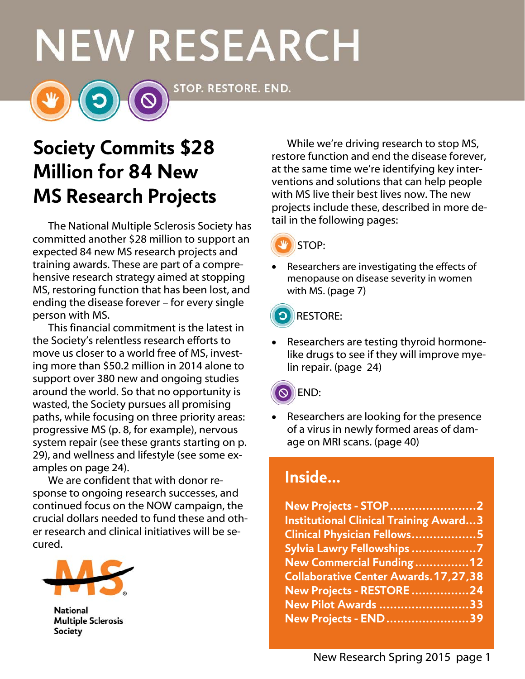# **NEW RESEARCH**

STOP. RESTORE. END.

# **Society Commits \$28 Million for 84 New MS Research Projects**

The National Multiple Sclerosis Society has committed another \$28 million to support an expected 84 new MS research projects and training awards. These are part of a comprehensive research strategy aimed at stopping MS, restoring function that has been lost, and ending the disease forever – for every single person with MS.

This financial commitment is the latest in the Society's relentless research efforts to move us closer to a world free of MS, investing more than \$50.2 million in 2014 alone to support over 380 new and ongoing studies around the world. So that no opportunity is wasted, the Society pursues all promising paths, while focusing on three priority areas: progressive MS (p. 8, for example), nervous system repair (see these grants starting on p. 29), and wellness and lifestyle (see some examples on page 24).

We are confident that with donor response to ongoing research successes, and continued focus on the NOW campaign, the crucial dollars needed to fund these and other research and clinical initiatives will be secured.



**National Multiple Sclerosis** Society

While we're driving research to stop MS, restore function and end the disease forever, at the same time we're identifying key interventions and solutions that can help people with MS live their best lives now. The new projects include these, described in more detail in the following pages:



 Researchers are investigating the effects of menopause on disease severity in women with MS. (page 7)



 Researchers are testing thyroid hormonelike drugs to see if they will improve myelin repair. (page 24)



 Researchers are looking for the presence of a virus in newly formed areas of damage on MRI scans. (page 40)

# **Inside…**

| <b>New Projects - STOP 2</b>                  |  |
|-----------------------------------------------|--|
| <b>Institutional Clinical Training Award3</b> |  |
| Clinical Physician Fellows5                   |  |
| Sylvia Lawry Fellowships 7                    |  |
| New Commercial Funding 12                     |  |
| <b>Collaborative Center Awards.17,27,38</b>   |  |
| New Projects - RESTORE 24                     |  |
| New Pilot Awards 33                           |  |
| New Projects - END 39                         |  |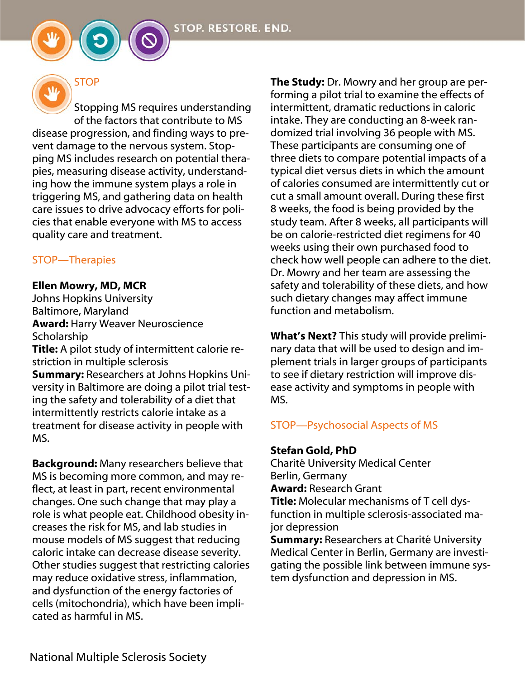



# **STOP**

Stopping MS requires understanding of the factors that contribute to MS disease progression, and finding ways to prevent damage to the nervous system. Stopping MS includes research on potential therapies, measuring disease activity, understanding how the immune system plays a role in triggering MS, and gathering data on health care issues to drive advocacy efforts for policies that enable everyone with MS to access quality care and treatment.

#### STOP—Therapies

#### Ellen Mowry, MD, MCR

Johns Hopkins University Baltimore, Maryland Award: Harry Weaver Neuroscience Scholarship

Title: A pilot study of intermittent calorie restriction in multiple sclerosis

Summary: Researchers at Johns Hopkins University in Baltimore are doing a pilot trial testing the safety and tolerability of a diet that intermittently restricts calorie intake as a treatment for disease activity in people with MS.

Background: Many researchers believe that MS is becoming more common, and may reflect, at least in part, recent environmental changes. One such change that may play a role is what people eat. Childhood obesity increases the risk for MS, and lab studies in mouse models of MS suggest that reducing caloric intake can decrease disease severity. Other studies suggest that restricting calories may reduce oxidative stress, inflammation, and dysfunction of the energy factories of cells (mitochondria), which have been implicated as harmful in MS.

**The Study:** Dr. Mowry and her group are performing a pilot trial to examine the effects of intermittent, dramatic reductions in caloric intake. They are conducting an 8-week randomized trial involving 36 people with MS. These participants are consuming one of three diets to compare potential impacts of a typical diet versus diets in which the amount of calories consumed are intermittently cut or cut a small amount overall. During these first 8 weeks, the food is being provided by the study team. After 8 weeks, all participants will be on calorie-restricted diet regimens for 40 weeks using their own purchased food to check how well people can adhere to the diet. Dr. Mowry and her team are assessing the safety and tolerability of these diets, and how such dietary changes may affect immune function and metabolism.

What's Next? This study will provide preliminary data that will be used to design and implement trials in larger groups of participants to see if dietary restriction will improve disease activity and symptoms in people with MS.

### STOP—Psychosocial Aspects of MS

#### Stefan Gold, PhD

Charité University Medical Center Berlin, Germany Award: Research Grant

Title: Molecular mechanisms of T cell dysfunction in multiple sclerosis-associated major depression

Summary: Researchers at Charité University Medical Center in Berlin, Germany are investigating the possible link between immune system dysfunction and depression in MS.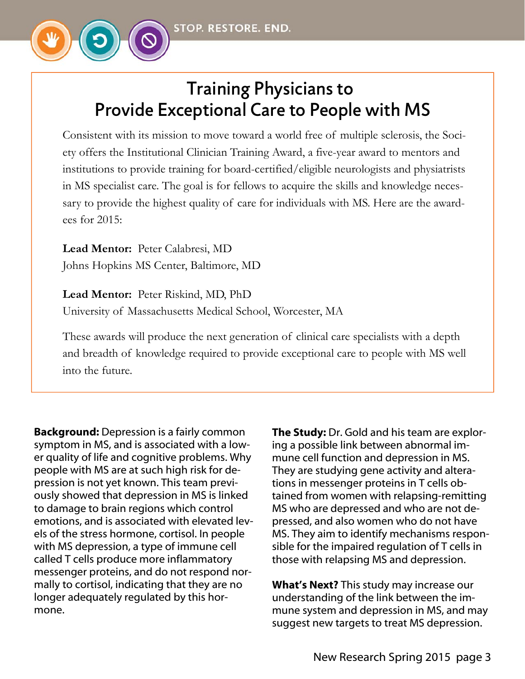

# Training Physicians to Provide Exceptional Care to People with MS

Consistent with its mission to move toward a world free of multiple sclerosis, the Society offers the Institutional Clinician Training Award, a five-year award to mentors and institutions to provide training for board-certified/eligible neurologists and physiatrists in MS specialist care. The goal is for fellows to acquire the skills and knowledge necessary to provide the highest quality of care for individuals with MS. Here are the awardees for 2015:

**Lead Mentor:** Peter Calabresi, MD Johns Hopkins MS Center, Baltimore, MD

**Lead Mentor:** Peter Riskind, MD, PhD University of Massachusetts Medical School, Worcester, MA

These awards will produce the next generation of clinical care specialists with a depth and breadth of knowledge required to provide exceptional care to people with MS well into the future.

Background: Depression is a fairly common symptom in MS, and is associated with a lower quality of life and cognitive problems. Why people with MS are at such high risk for depression is not yet known. This team previously showed that depression in MS is linked to damage to brain regions which control emotions, and is associated with elevated levels of the stress hormone, cortisol. In people with MS depression, a type of immune cell called T cells produce more inflammatory messenger proteins, and do not respond normally to cortisol, indicating that they are no longer adequately regulated by this hormone.

**The Study:** Dr. Gold and his team are exploring a possible link between abnormal immune cell function and depression in MS. They are studying gene activity and alterations in messenger proteins in T cells obtained from women with relapsing-remitting MS who are depressed and who are not depressed, and also women who do not have MS. They aim to identify mechanisms responsible for the impaired regulation of T cells in those with relapsing MS and depression.

What's Next? This study may increase our understanding of the link between the immune system and depression in MS, and may suggest new targets to treat MS depression.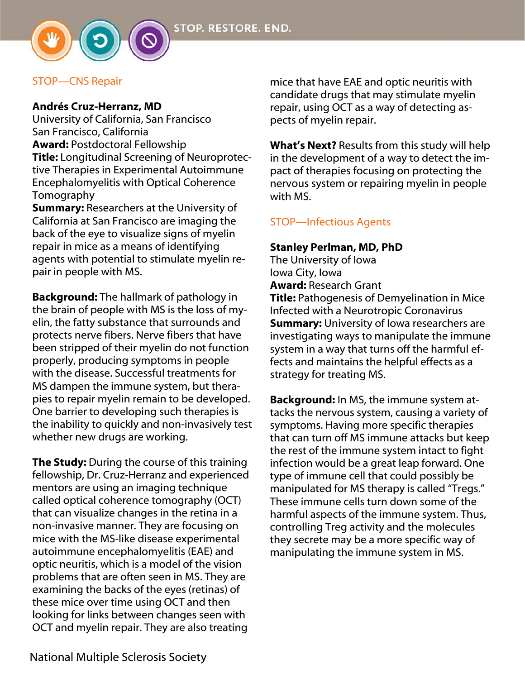

#### STOP—CNS Repair

#### Andrés Cruz-Herranz, MD

University of California, San Francisco San Francisco, California Award: Postdoctoral Fellowship Title: Longitudinal Screening of Neuroprotective Therapies in Experimental Autoimmune Encephalomyelitis with Optical Coherence Tomography

Summary: Researchers at the University of California at San Francisco are imaging the back of the eye to visualize signs of myelin repair in mice as a means of identifying agents with potential to stimulate myelin repair in people with MS.

Background: The hallmark of pathology in the brain of people with MS is the loss of myelin, the fatty substance that surrounds and protects nerve fibers. Nerve fibers that have been stripped of their myelin do not function properly, producing symptoms in people with the disease. Successful treatments for MS dampen the immune system, but therapies to repair myelin remain to be developed. One barrier to developing such therapies is the inability to quickly and non-invasively test whether new drugs are working.

The Study: During the course of this training fellowship, Dr. Cruz-Herranz and experienced mentors are using an imaging technique called optical coherence tomography (OCT) that can visualize changes in the retina in a non-invasive manner. They are focusing on mice with the MS-like disease experimental autoimmune encephalomyelitis (EAE) and optic neuritis, which is a model of the vision problems that are often seen in MS. They are examining the backs of the eyes (retinas) of these mice over time using OCT and then looking for links between changes seen with OCT and myelin repair. They are also treating

mice that have EAE and optic neuritis with candidate drugs that may stimulate myelin repair, using OCT as a way of detecting aspects of myelin repair.

What's Next? Results from this study will help in the development of a way to detect the impact of therapies focusing on protecting the nervous system or repairing myelin in people with MS.

# STOP—Infectious Agents

#### Stanley Perlman, MD, PhD

The University of Iowa Iowa City, Iowa Award: Research Grant Title: Pathogenesis of Demyelination in Mice Infected with a Neurotropic Coronavirus **Summary:** University of Iowa researchers are investigating ways to manipulate the immune system in a way that turns off the harmful effects and maintains the helpful effects as a strategy for treating MS.

**Background:** In MS, the immune system attacks the nervous system, causing a variety of symptoms. Having more specific therapies that can turn off MS immune attacks but keep the rest of the immune system intact to fight infection would be a great leap forward. One type of immune cell that could possibly be manipulated for MS therapy is called "Tregs." These immune cells turn down some of the harmful aspects of the immune system. Thus, controlling Treg activity and the molecules they secrete may be a more specific way of manipulating the immune system in MS.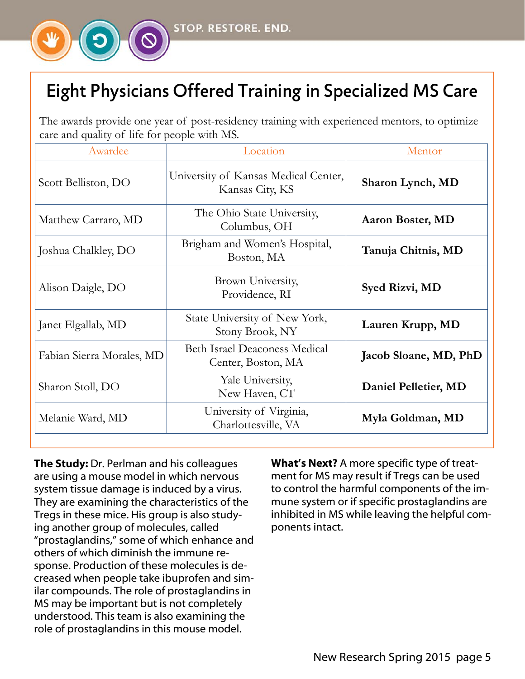

# Eight Physicians Offered Training in Specialized MS Care

The awards provide one year of post-residency training with experienced mentors, to optimize care and quality of life for people with MS.

| Awardee                   | Location                                                   | Mentor                |
|---------------------------|------------------------------------------------------------|-----------------------|
| Scott Belliston, DO       | University of Kansas Medical Center,<br>Kansas City, KS    | Sharon Lynch, MD      |
| Matthew Carraro, MD       | The Ohio State University,<br>Columbus, OH                 | Aaron Boster, MD      |
| Joshua Chalkley, DO       | Brigham and Women's Hospital,<br>Boston, MA                | Tanuja Chitnis, MD    |
| Alison Daigle, DO         | Brown University,<br>Providence, RI                        | Syed Rizvi, MD        |
| Janet Elgallab, MD        | State University of New York,<br>Stony Brook, NY           | Lauren Krupp, MD      |
| Fabian Sierra Morales, MD | <b>Beth Israel Deaconess Medical</b><br>Center, Boston, MA | Jacob Sloane, MD, PhD |
| Sharon Stoll, DO          | Yale University,<br>New Haven, CT                          | Daniel Pelletier, MD  |
| Melanie Ward, MD          | University of Virginia,<br>Charlottesville, VA             | Myla Goldman, MD      |

The Study: Dr. Perlman and his colleagues are using a mouse model in which nervous system tissue damage is induced by a virus. They are examining the characteristics of the Tregs in these mice. His group is also studying another group of molecules, called "prostaglandins," some of which enhance and others of which diminish the immune response. Production of these molecules is decreased when people take ibuprofen and similar compounds. The role of prostaglandins in MS may be important but is not completely understood. This team is also examining the role of prostaglandins in this mouse model.

What's Next? A more specific type of treatment for MS may result if Tregs can be used to control the harmful components of the immune system or if specific prostaglandins are inhibited in MS while leaving the helpful components intact.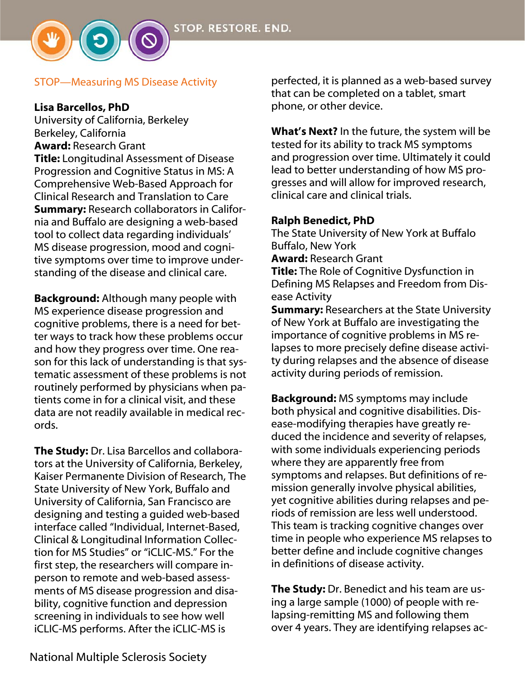#### STOP—Measuring MS Disease Activity

#### Lisa Barcellos, PhD

University of California, Berkeley Berkeley, California Award: Research Grant Title: Longitudinal Assessment of Disease Progression and Cognitive Status in MS: A Comprehensive Web-Based Approach for Clinical Research and Translation to Care Summary: Research collaborators in California and Buffalo are designing a web-based tool to collect data regarding individuals' MS disease progression, mood and cognitive symptoms over time to improve understanding of the disease and clinical care.

**Background:** Although many people with MS experience disease progression and cognitive problems, there is a need for better ways to track how these problems occur and how they progress over time. One reason for this lack of understanding is that systematic assessment of these problems is not routinely performed by physicians when patients come in for a clinical visit, and these data are not readily available in medical records.

The Study: Dr. Lisa Barcellos and collaborators at the University of California, Berkeley, Kaiser Permanente Division of Research, The State University of New York, Buffalo and University of California, San Francisco are designing and testing a guided web-based interface called "Individual, Internet-Based, Clinical & Longitudinal Information Collection for MS Studies" or "iCLIC-MS." For the first step, the researchers will compare inperson to remote and web-based assessments of MS disease progression and disability, cognitive function and depression screening in individuals to see how well iCLIC-MS performs. After the iCLIC-MS is

perfected, it is planned as a web-based survey that can be completed on a tablet, smart phone, or other device.

What's Next? In the future, the system will be tested for its ability to track MS symptoms and progression over time. Ultimately it could lead to better understanding of how MS progresses and will allow for improved research, clinical care and clinical trials.

#### Ralph Benedict, PhD

The State University of New York at Buffalo Buffalo, New York Award: Research Grant **Title:** The Role of Cognitive Dysfunction in Defining MS Relapses and Freedom from Disease Activity **Summary:** Researchers at the State University of New York at Buffalo are investigating the importance of cognitive problems in MS re-

lapses to more precisely define disease activity during relapses and the absence of disease activity during periods of remission.

Background: MS symptoms may include both physical and cognitive disabilities. Disease-modifying therapies have greatly reduced the incidence and severity of relapses, with some individuals experiencing periods where they are apparently free from symptoms and relapses. But definitions of remission generally involve physical abilities, yet cognitive abilities during relapses and periods of remission are less well understood. This team is tracking cognitive changes over time in people who experience MS relapses to better define and include cognitive changes in definitions of disease activity.

The Study: Dr. Benedict and his team are using a large sample (1000) of people with relapsing-remitting MS and following them over 4 years. They are identifying relapses ac-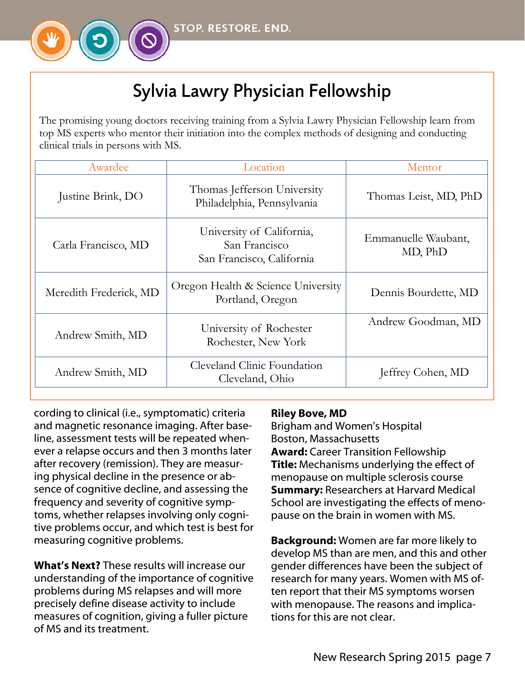

# Sylvia Lawry Physician Fellowship

The promising young doctors receiving training from a Sylvia Lawry Physician Fellowship learn from top MS experts who mentor their initiation into the complex methods of designing and conducting clinical trials in persons with MS.

| Awardee                | Location                                                                | Mentor                         |
|------------------------|-------------------------------------------------------------------------|--------------------------------|
| Justine Brink, DO      | Thomas Jefferson University<br>Philadelphia, Pennsylvania               | Thomas Leist, MD, PhD          |
| Carla Francisco, MD    | University of California,<br>San Francisco<br>San Francisco, California | Emmanuelle Waubant,<br>MD, PhD |
| Meredith Frederick, MD | Oregon Health & Science University<br>Portland, Oregon                  | Dennis Bourdette, MD           |
| Andrew Smith, MD       | University of Rochester<br>Rochester, New York                          | Andrew Goodman, MD             |
| Andrew Smith, MD       | Cleveland Clinic Foundation<br>Cleveland, Ohio                          | Jeffrey Cohen, MD              |

cording to clinical (i.e., symptomatic) criteria and magnetic resonance imaging. After baseline, assessment tests will be repeated whenever a relapse occurs and then 3 months later after recovery (remission). They are measuring physical decline in the presence or absence of cognitive decline, and assessing the frequency and severity of cognitive symptoms, whether relapses involving only cognitive problems occur, and which test is best for measuring cognitive problems.

What's Next? These results will increase our understanding of the importance of cognitive problems during MS relapses and will more precisely define disease activity to include measures of cognition, giving a fuller picture of MS and its treatment.

#### Riley Bove, MD

Brigham and Women's Hospital Boston, Massachusetts Award: Career Transition Fellowship **Title:** Mechanisms underlying the effect of menopause on multiple sclerosis course **Summary: Researchers at Harvard Medical** School are investigating the effects of menopause on the brain in women with MS.

Background: Women are far more likely to develop MS than are men, and this and other gender differences have been the subject of research for many years. Women with MS often report that their MS symptoms worsen with menopause. The reasons and implications for this are not clear.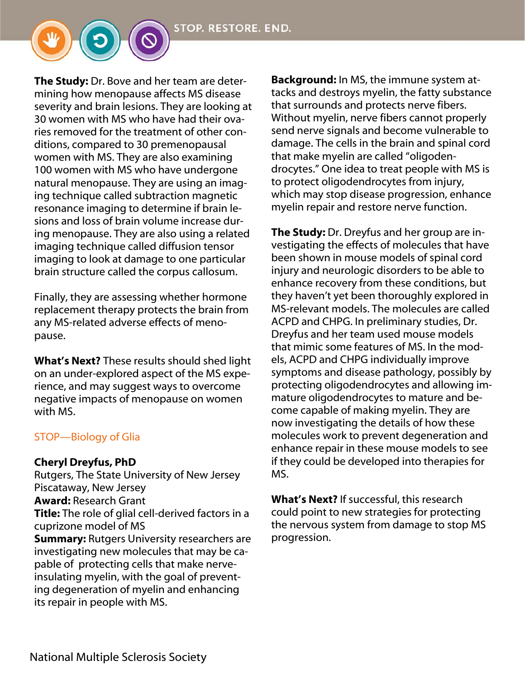The Study: Dr. Bove and her team are determining how menopause affects MS disease severity and brain lesions. They are looking at 30 women with MS who have had their ovaries removed for the treatment of other conditions, compared to 30 premenopausal women with MS. They are also examining 100 women with MS who have undergone natural menopause. They are using an imaging technique called subtraction magnetic resonance imaging to determine if brain lesions and loss of brain volume increase during menopause. They are also using a related imaging technique called diffusion tensor imaging to look at damage to one particular brain structure called the corpus callosum.

Finally, they are assessing whether hormone replacement therapy protects the brain from any MS-related adverse effects of menopause.

What's Next? These results should shed light on an under-explored aspect of the MS experience, and may suggest ways to overcome negative impacts of menopause on women with MS.

#### STOP—Biology of Glia

#### Cheryl Dreyfus, PhD

Rutgers, The State University of New Jersey Piscataway, New Jersey Award: Research Grant **Title:** The role of glial cell-derived factors in a cuprizone model of MS **Summary:** Rutgers University researchers are investigating new molecules that may be capable of protecting cells that make nerveinsulating myelin, with the goal of preventing degeneration of myelin and enhancing its repair in people with MS.

Background: In MS, the immune system attacks and destroys myelin, the fatty substance that surrounds and protects nerve fibers. Without myelin, nerve fibers cannot properly send nerve signals and become vulnerable to damage. The cells in the brain and spinal cord that make myelin are called "oligodendrocytes." One idea to treat people with MS is to protect oligodendrocytes from injury, which may stop disease progression, enhance myelin repair and restore nerve function.

The Study: Dr. Dreyfus and her group are investigating the effects of molecules that have been shown in mouse models of spinal cord injury and neurologic disorders to be able to enhance recovery from these conditions, but they haven't yet been thoroughly explored in MS-relevant models. The molecules are called ACPD and CHPG. In preliminary studies, Dr. Dreyfus and her team used mouse models that mimic some features of MS. In the models, ACPD and CHPG individually improve symptoms and disease pathology, possibly by protecting oligodendrocytes and allowing immature oligodendrocytes to mature and become capable of making myelin. They are now investigating the details of how these molecules work to prevent degeneration and enhance repair in these mouse models to see if they could be developed into therapies for MS.

What's Next? If successful, this research could point to new strategies for protecting the nervous system from damage to stop MS progression.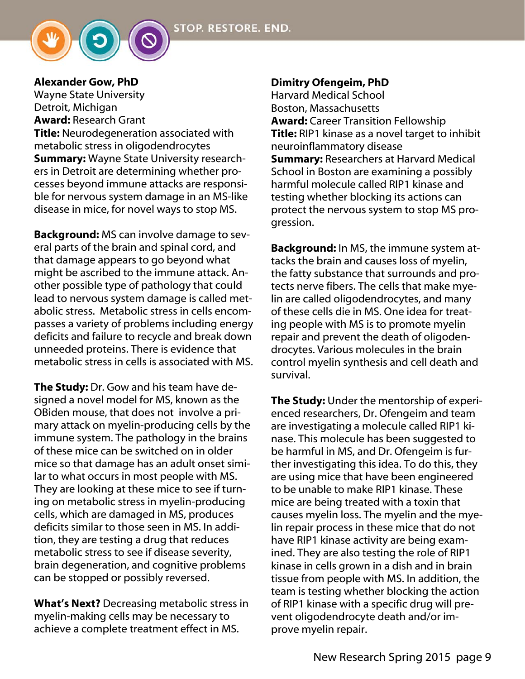

#### Alexander Gow, PhD

Wayne State University Detroit, Michigan Award: Research Grant **Title:** Neurodegeneration associated with metabolic stress in oligodendrocytes **Summary:** Wayne State University researchers in Detroit are determining whether processes beyond immune attacks are responsible for nervous system damage in an MS-like disease in mice, for novel ways to stop MS.

Background: MS can involve damage to several parts of the brain and spinal cord, and that damage appears to go beyond what might be ascribed to the immune attack. Another possible type of pathology that could lead to nervous system damage is called metabolic stress. Metabolic stress in cells encompasses a variety of problems including energy deficits and failure to recycle and break down unneeded proteins. There is evidence that metabolic stress in cells is associated with MS.

The Study: Dr. Gow and his team have designed a novel model for MS, known as the OBiden mouse, that does not involve a primary attack on myelin-producing cells by the immune system. The pathology in the brains of these mice can be switched on in older mice so that damage has an adult onset similar to what occurs in most people with MS. They are looking at these mice to see if turning on metabolic stress in myelin-producing cells, which are damaged in MS, produces deficits similar to those seen in MS. In addition, they are testing a drug that reduces metabolic stress to see if disease severity, brain degeneration, and cognitive problems can be stopped or possibly reversed.

What's Next? Decreasing metabolic stress in myelin-making cells may be necessary to achieve a complete treatment effect in MS.

#### Dimitry Ofengeim, PhD

Harvard Medical School Boston, Massachusetts Award: Career Transition Fellowship **Title:** RIP1 kinase as a novel target to inhibit neuroinflammatory disease **Summary: Researchers at Harvard Medical** School in Boston are examining a possibly harmful molecule called RIP1 kinase and testing whether blocking its actions can protect the nervous system to stop MS progression.

Background: In MS, the immune system attacks the brain and causes loss of myelin, the fatty substance that surrounds and protects nerve fibers. The cells that make myelin are called oligodendrocytes, and many of these cells die in MS. One idea for treating people with MS is to promote myelin repair and prevent the death of oligodendrocytes. Various molecules in the brain control myelin synthesis and cell death and survival.

The Study: Under the mentorship of experienced researchers, Dr. Ofengeim and team are investigating a molecule called RIP1 kinase. This molecule has been suggested to be harmful in MS, and Dr. Ofengeim is further investigating this idea. To do this, they are using mice that have been engineered to be unable to make RIP1 kinase. These mice are being treated with a toxin that causes myelin loss. The myelin and the myelin repair process in these mice that do not have RIP1 kinase activity are being examined. They are also testing the role of RIP1 kinase in cells grown in a dish and in brain tissue from people with MS. In addition, the team is testing whether blocking the action of RIP1 kinase with a specific drug will prevent oligodendrocyte death and/or improve myelin repair.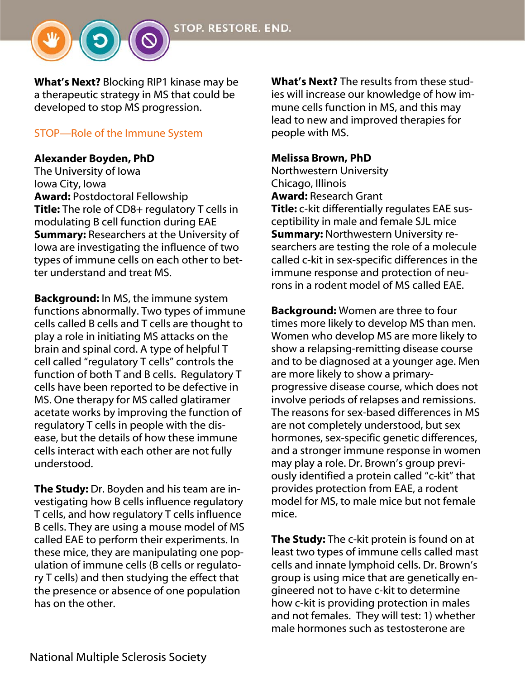

What's Next? Blocking RIP1 kinase may be a therapeutic strategy in MS that could be developed to stop MS progression.

#### STOP—Role of the Immune System

#### Alexander Boyden, PhD

The University of Iowa Iowa City, Iowa Award: Postdoctoral Fellowship Title: The role of CD8+ regulatory T cells in modulating B cell function during EAE **Summary: Researchers at the University of** Iowa are investigating the influence of two types of immune cells on each other to better understand and treat MS.

Background: In MS, the immune system functions abnormally. Two types of immune cells called B cells and T cells are thought to play a role in initiating MS attacks on the brain and spinal cord. A type of helpful T cell called "regulatory T cells" controls the function of both T and B cells. Regulatory T cells have been reported to be defective in MS. One therapy for MS called glatiramer acetate works by improving the function of regulatory T cells in people with the disease, but the details of how these immune cells interact with each other are not fully understood.

The Study: Dr. Boyden and his team are investigating how B cells influence regulatory T cells, and how regulatory T cells influence B cells. They are using a mouse model of MS called EAE to perform their experiments. In these mice, they are manipulating one population of immune cells (B cells or regulatory T cells) and then studying the effect that the presence or absence of one population has on the other.

What's Next? The results from these studies will increase our knowledge of how immune cells function in MS, and this may lead to new and improved therapies for people with MS.

#### Melissa Brown, PhD

Northwestern University Chicago, Illinois Award: Research Grant Title: c-kit differentially regulates EAE susceptibility in male and female SJL mice Summary: Northwestern University researchers are testing the role of a molecule called c-kit in sex-specific differences in the immune response and protection of neurons in a rodent model of MS called EAE.

Background: Women are three to four times more likely to develop MS than men. Women who develop MS are more likely to show a relapsing-remitting disease course and to be diagnosed at a younger age. Men are more likely to show a primaryprogressive disease course, which does not involve periods of relapses and remissions. The reasons for sex-based differences in MS are not completely understood, but sex hormones, sex-specific genetic differences, and a stronger immune response in women may play a role. Dr. Brown's group previously identified a protein called "c-kit" that provides protection from EAE, a rodent model for MS, to male mice but not female mice.

The Study: The c-kit protein is found on at least two types of immune cells called mast cells and innate lymphoid cells. Dr. Brown's group is using mice that are genetically engineered not to have c-kit to determine how c-kit is providing protection in males and not females. They will test: 1) whether male hormones such as testosterone are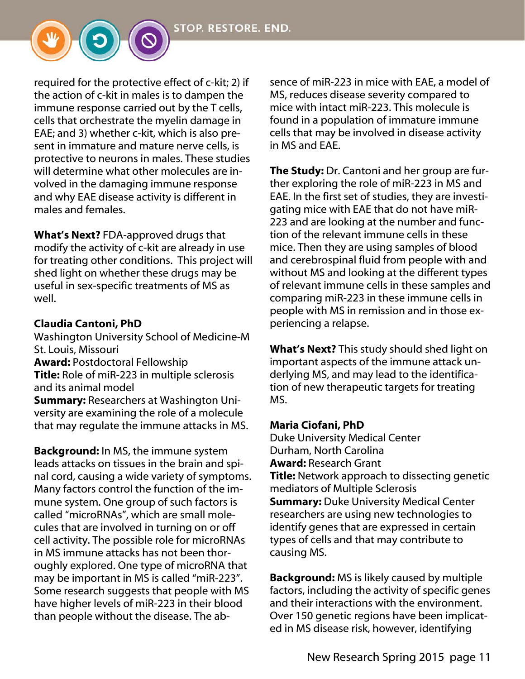

required for the protective effect of c-kit; 2) if the action of c-kit in males is to dampen the immune response carried out by the T cells, cells that orchestrate the myelin damage in EAE; and 3) whether c-kit, which is also present in immature and mature nerve cells, is protective to neurons in males. These studies will determine what other molecules are involved in the damaging immune response and why EAE disease activity is different in males and females.

What's Next? FDA-approved drugs that modify the activity of c-kit are already in use for treating other conditions. This project will shed light on whether these drugs may be useful in sex-specific treatments of MS as well.

# Claudia Cantoni, PhD

Washington University School of Medicine-M St. Louis, Missouri Award: Postdoctoral Fellowship Title: Role of miR-223 in multiple sclerosis and its animal model Summary: Researchers at Washington Uni-

versity are examining the role of a molecule that may regulate the immune attacks in MS.

Background: In MS, the immune system leads attacks on tissues in the brain and spinal cord, causing a wide variety of symptoms. Many factors control the function of the immune system. One group of such factors is called "microRNAs", which are small molecules that are involved in turning on or off cell activity. The possible role for microRNAs in MS immune attacks has not been thoroughly explored. One type of microRNA that may be important in MS is called "miR-223". Some research suggests that people with MS have higher levels of miR-223 in their blood than people without the disease. The absence of miR-223 in mice with EAE, a model of MS, reduces disease severity compared to mice with intact miR-223. This molecule is found in a population of immature immune cells that may be involved in disease activity in MS and EAE.

**The Study:** Dr. Cantoni and her group are further exploring the role of miR-223 in MS and EAE. In the first set of studies, they are investigating mice with EAE that do not have miR-223 and are looking at the number and function of the relevant immune cells in these mice. Then they are using samples of blood and cerebrospinal fluid from people with and without MS and looking at the different types of relevant immune cells in these samples and comparing miR-223 in these immune cells in people with MS in remission and in those experiencing a relapse.

What's Next? This study should shed light on important aspects of the immune attack underlying MS, and may lead to the identification of new therapeutic targets for treating MS.

### Maria Ciofani, PhD

Duke University Medical Center Durham, North Carolina Award: Research Grant **Title:** Network approach to dissecting genetic mediators of Multiple Sclerosis **Summary: Duke University Medical Center** researchers are using new technologies to identify genes that are expressed in certain types of cells and that may contribute to causing MS.

Background: MS is likely caused by multiple factors, including the activity of specific genes and their interactions with the environment. Over 150 genetic regions have been implicated in MS disease risk, however, identifying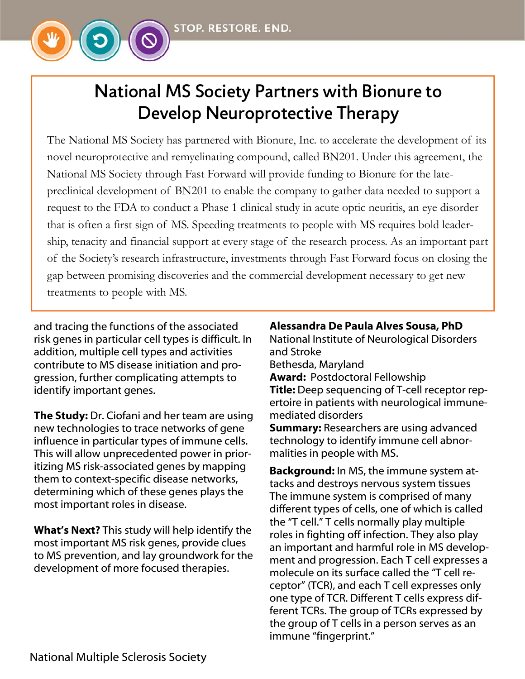

# National MS Society Partners with Bionure to Develop Neuroprotective Therapy

The National MS Society has partnered with Bionure, Inc. to accelerate the development of its novel neuroprotective and remyelinating compound, called BN201. Under this agreement, the National MS Society through Fast Forward will provide funding to Bionure for the latepreclinical development of BN201 to enable the company to gather data needed to support a request to the FDA to conduct a Phase 1 clinical study in acute optic neuritis, an eye disorder that is often a first sign of MS. Speeding treatments to people with MS requires bold leadership, tenacity and financial support at every stage of the research process. As an important part of the Society's research infrastructure, investments through Fast Forward focus on closing the gap between promising discoveries and the commercial development necessary to get new treatments to people with MS.

and tracing the functions of the associated risk genes in particular cell types is difficult. In addition, multiple cell types and activities contribute to MS disease initiation and progression, further complicating attempts to identify important genes.

The Study: Dr. Ciofani and her team are using new technologies to trace networks of gene influence in particular types of immune cells. This will allow unprecedented power in prioritizing MS risk-associated genes by mapping them to context-specific disease networks, determining which of these genes plays the most important roles in disease.

What's Next? This study will help identify the most important MS risk genes, provide clues to MS prevention, and lay groundwork for the development of more focused therapies.

#### Alessandra De Paula Alves Sousa, PhD

National Institute of Neurological Disorders and Stroke

Bethesda, Maryland

Award: Postdoctoral Fellowship Title: Deep sequencing of T-cell receptor rep-

ertoire in patients with neurological immunemediated disorders

**Summary:** Researchers are using advanced technology to identify immune cell abnormalities in people with MS.

Background: In MS, the immune system attacks and destroys nervous system tissues The immune system is comprised of many different types of cells, one of which is called the "T cell." T cells normally play multiple roles in fighting off infection. They also play an important and harmful role in MS development and progression. Each T cell expresses a molecule on its surface called the "T cell receptor" (TCR), and each T cell expresses only one type of TCR. Different T cells express different TCRs. The group of TCRs expressed by the group of T cells in a person serves as an immune "fingerprint."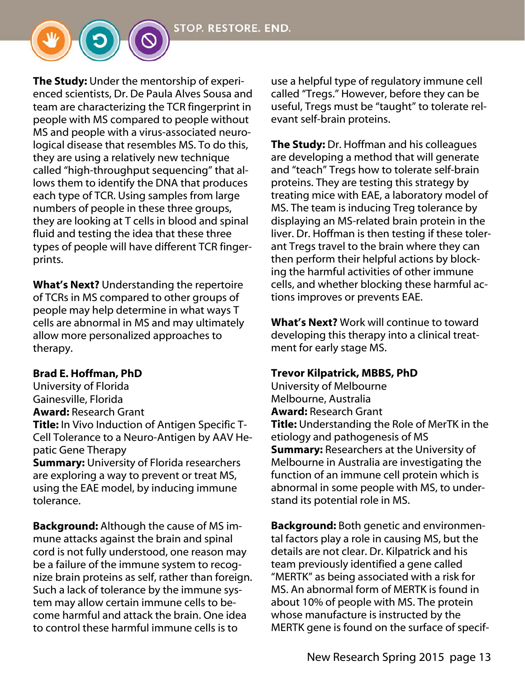**The Study:** Under the mentorship of experienced scientists, Dr. De Paula Alves Sousa and team are characterizing the TCR fingerprint in people with MS compared to people without MS and people with a virus-associated neurological disease that resembles MS. To do this, they are using a relatively new technique called "high-throughput sequencing" that allows them to identify the DNA that produces each type of TCR. Using samples from large numbers of people in these three groups, they are looking at T cells in blood and spinal fluid and testing the idea that these three types of people will have different TCR fingerprints.

**What's Next?** Understanding the repertoire of TCRs in MS compared to other groups of people may help determine in what ways T cells are abnormal in MS and may ultimately allow more personalized approaches to therapy.

#### Brad E. Hoffman, PhD

University of Florida Gainesville, Florida Award: Research Grant

**Title:** In Vivo Induction of Antigen Specific T-Cell Tolerance to a Neuro-Antigen by AAV Hepatic Gene Therapy

**Summary:** University of Florida researchers are exploring a way to prevent or treat MS, using the EAE model, by inducing immune tolerance.

**Background:** Although the cause of MS immune attacks against the brain and spinal cord is not fully understood, one reason may be a failure of the immune system to recognize brain proteins as self, rather than foreign. Such a lack of tolerance by the immune system may allow certain immune cells to become harmful and attack the brain. One idea to control these harmful immune cells is to

use a helpful type of regulatory immune cell called "Tregs." However, before they can be useful, Tregs must be "taught" to tolerate relevant self-brain proteins.

**The Study:** Dr. Hoffman and his colleagues are developing a method that will generate and "teach" Tregs how to tolerate self-brain proteins. They are testing this strategy by treating mice with EAE, a laboratory model of MS. The team is inducing Treg tolerance by displaying an MS-related brain protein in the liver. Dr. Hoffman is then testing if these tolerant Tregs travel to the brain where they can then perform their helpful actions by blocking the harmful activities of other immune cells, and whether blocking these harmful actions improves or prevents EAE.

What's Next? Work will continue to toward developing this therapy into a clinical treatment for early stage MS.

#### Trevor Kilpatrick, MBBS, PhD

University of Melbourne Melbourne, Australia Award: Research Grant **Title:** Understanding the Role of MerTK in the etiology and pathogenesis of MS **Summary: Researchers at the University of** Melbourne in Australia are investigating the function of an immune cell protein which is abnormal in some people with MS, to understand its potential role in MS.

Background: Both genetic and environmental factors play a role in causing MS, but the details are not clear. Dr. Kilpatrick and his team previously identified a gene called "MERTK" as being associated with a risk for MS. An abnormal form of MERTK is found in about 10% of people with MS. The protein whose manufacture is instructed by the MERTK gene is found on the surface of specif-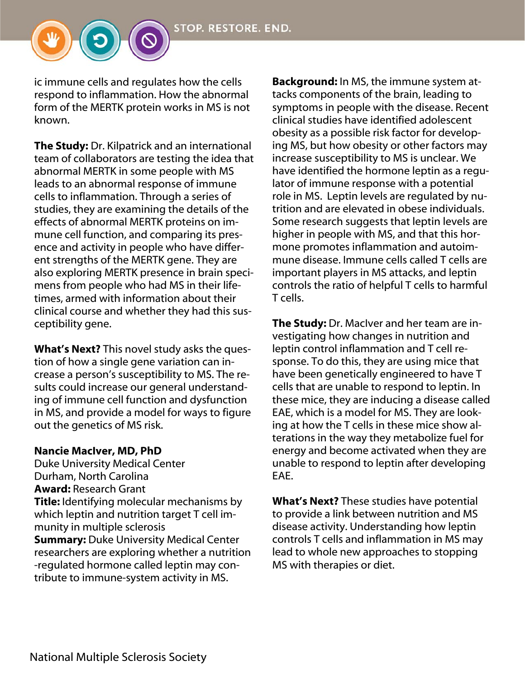```
STOP. RESTORE. END.
```
ic immune cells and regulates how the cells respond to inflammation. How the abnormal form of the MERTK protein works in MS is not known.

The Study: Dr. Kilpatrick and an international team of collaborators are testing the idea that abnormal MERTK in some people with MS leads to an abnormal response of immune cells to inflammation. Through a series of studies, they are examining the details of the effects of abnormal MERTK proteins on immune cell function, and comparing its presence and activity in people who have different strengths of the MERTK gene. They are also exploring MERTK presence in brain specimens from people who had MS in their lifetimes, armed with information about their clinical course and whether they had this susceptibility gene.

What's Next? This novel study asks the question of how a single gene variation can increase a person's susceptibility to MS. The results could increase our general understanding of immune cell function and dysfunction in MS, and provide a model for ways to figure out the genetics of MS risk.

#### Nancie MacIver, MD, PhD

Duke University Medical Center Durham, North Carolina Award: Research Grant **Title:** Identifying molecular mechanisms by which leptin and nutrition target T cell immunity in multiple sclerosis **Summary: Duke University Medical Center** researchers are exploring whether a nutrition -regulated hormone called leptin may contribute to immune-system activity in MS.

Background: In MS, the immune system attacks components of the brain, leading to symptoms in people with the disease. Recent clinical studies have identified adolescent obesity as a possible risk factor for developing MS, but how obesity or other factors may increase susceptibility to MS is unclear. We have identified the hormone leptin as a regulator of immune response with a potential role in MS. Leptin levels are regulated by nutrition and are elevated in obese individuals. Some research suggests that leptin levels are higher in people with MS, and that this hormone promotes inflammation and autoimmune disease. Immune cells called T cells are important players in MS attacks, and leptin controls the ratio of helpful T cells to harmful T cells.

**The Study:** Dr. MacIver and her team are investigating how changes in nutrition and leptin control inflammation and T cell response. To do this, they are using mice that have been genetically engineered to have T cells that are unable to respond to leptin. In these mice, they are inducing a disease called EAE, which is a model for MS. They are looking at how the T cells in these mice show alterations in the way they metabolize fuel for energy and become activated when they are unable to respond to leptin after developing EAE.

What's Next? These studies have potential to provide a link between nutrition and MS disease activity. Understanding how leptin controls T cells and inflammation in MS may lead to whole new approaches to stopping MS with therapies or diet.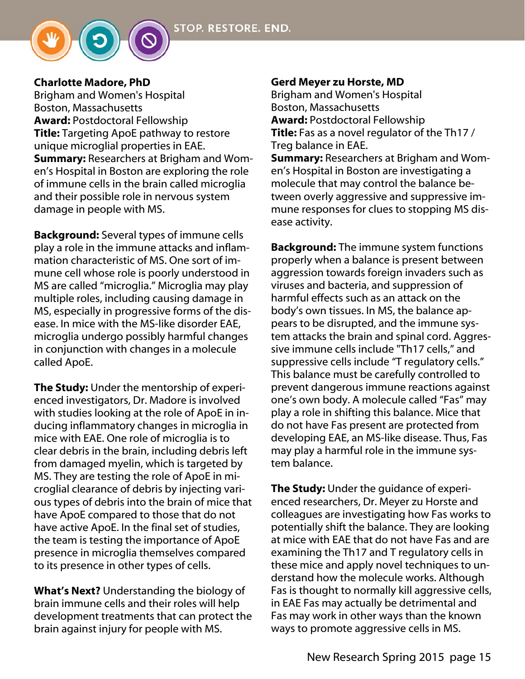### Charlotte Madore, PhD

Brigham and Women's Hospital Boston, Massachusetts Award: Postdoctoral Fellowship **Title:** Targeting ApoE pathway to restore unique microglial properties in EAE. **Summary: Researchers at Brigham and Wom**en's Hospital in Boston are exploring the role of immune cells in the brain called microglia and their possible role in nervous system damage in people with MS.

Background: Several types of immune cells play a role in the immune attacks and inflammation characteristic of MS. One sort of immune cell whose role is poorly understood in MS are called "microglia." Microglia may play multiple roles, including causing damage in MS, especially in progressive forms of the disease. In mice with the MS-like disorder EAE, microglia undergo possibly harmful changes in conjunction with changes in a molecule called ApoE.

The Study: Under the mentorship of experienced investigators, Dr. Madore is involved with studies looking at the role of ApoE in inducing inflammatory changes in microglia in mice with EAE. One role of microglia is to clear debris in the brain, including debris left from damaged myelin, which is targeted by MS. They are testing the role of ApoE in microglial clearance of debris by injecting various types of debris into the brain of mice that have ApoE compared to those that do not have active ApoE. In the final set of studies, the team is testing the importance of ApoE presence in microglia themselves compared to its presence in other types of cells.

What's Next? Understanding the biology of brain immune cells and their roles will help development treatments that can protect the brain against injury for people with MS.

#### Gerd Meyer zu Horste, MD

Brigham and Women's Hospital Boston, Massachusetts Award: Postdoctoral Fellowship Title: Fas as a novel regulator of the Th17/ Treg balance in EAE. Summary: Researchers at Brigham and Women's Hospital in Boston are investigating a molecule that may control the balance between overly aggressive and suppressive immune responses for clues to stopping MS disease activity.

Background: The immune system functions properly when a balance is present between aggression towards foreign invaders such as viruses and bacteria, and suppression of harmful effects such as an attack on the body's own tissues. In MS, the balance appears to be disrupted, and the immune system attacks the brain and spinal cord. Aggressive immune cells include "Th17 cells," and suppressive cells include "T regulatory cells." This balance must be carefully controlled to prevent dangerous immune reactions against one's own body. A molecule called "Fas" may play a role in shifting this balance. Mice that do not have Fas present are protected from developing EAE, an MS-like disease. Thus, Fas may play a harmful role in the immune system balance.

**The Study:** Under the guidance of experienced researchers, Dr. Meyer zu Horste and colleagues are investigating how Fas works to potentially shift the balance. They are looking at mice with EAE that do not have Fas and are examining the Th17 and T regulatory cells in these mice and apply novel techniques to understand how the molecule works. Although Fas is thought to normally kill aggressive cells, in EAE Fas may actually be detrimental and Fas may work in other ways than the known ways to promote aggressive cells in MS.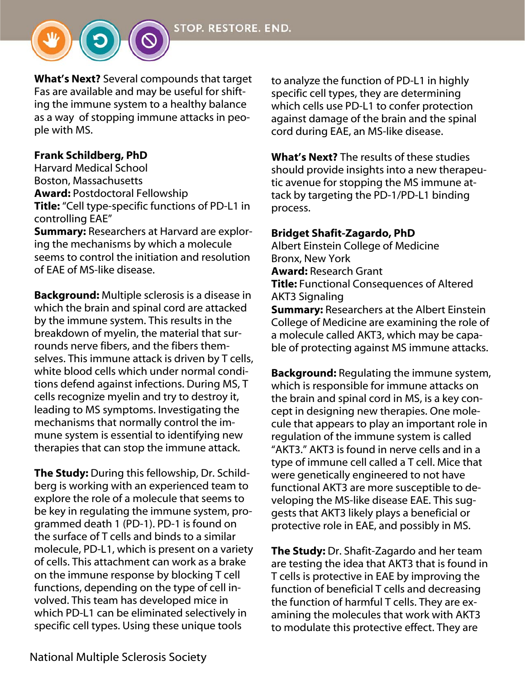

What's Next? Several compounds that target Fas are available and may be useful for shifting the immune system to a healthy balance as a way of stopping immune attacks in people with MS.

#### Frank Schildberg, PhD

Harvard Medical School Boston, Massachusetts Award: Postdoctoral Fellowship Title: "Cell type-specific functions of PD-L1 in controlling EAE"

**Summary: Researchers at Harvard are explor**ing the mechanisms by which a molecule seems to control the initiation and resolution of EAE of MS-like disease.

Background: Multiple sclerosis is a disease in which the brain and spinal cord are attacked by the immune system. This results in the breakdown of myelin, the material that surrounds nerve fibers, and the fibers themselves. This immune attack is driven by T cells, white blood cells which under normal conditions defend against infections. During MS, T cells recognize myelin and try to destroy it, leading to MS symptoms. Investigating the mechanisms that normally control the immune system is essential to identifying new therapies that can stop the immune attack.

The Study: During this fellowship, Dr. Schildberg is working with an experienced team to explore the role of a molecule that seems to be key in regulating the immune system, programmed death 1 (PD-1). PD-1 is found on the surface of T cells and binds to a similar molecule, PD-L1, which is present on a variety of cells. This attachment can work as a brake on the immune response by blocking T cell functions, depending on the type of cell involved. This team has developed mice in which PD-L1 can be eliminated selectively in specific cell types. Using these unique tools

to analyze the function of PD-L1 in highly specific cell types, they are determining which cells use PD-L1 to confer protection against damage of the brain and the spinal cord during EAE, an MS-like disease.

What's Next? The results of these studies should provide insights into a new therapeutic avenue for stopping the MS immune attack by targeting the PD-1/PD-L1 binding process.

#### Bridget Shafit-Zagardo, PhD

Albert Einstein College of Medicine Bronx, New York Award: Research Grant Title: Functional Consequences of Altered AKT3 Signaling **Summary: Researchers at the Albert Einstein** College of Medicine are examining the role of a molecule called AKT3, which may be capable of protecting against MS immune attacks.

**Background:** Regulating the immune system, which is responsible for immune attacks on the brain and spinal cord in MS, is a key concept in designing new therapies. One molecule that appears to play an important role in regulation of the immune system is called "AKT3." AKT3 is found in nerve cells and in a type of immune cell called a T cell. Mice that were genetically engineered to not have functional AKT3 are more susceptible to developing the MS-like disease EAE. This suggests that AKT3 likely plays a beneficial or protective role in EAE, and possibly in MS.

The Study: Dr. Shafit-Zagardo and her team are testing the idea that AKT3 that is found in T cells is protective in EAE by improving the function of beneficial T cells and decreasing the function of harmful T cells. They are examining the molecules that work with AKT3 to modulate this protective effect. They are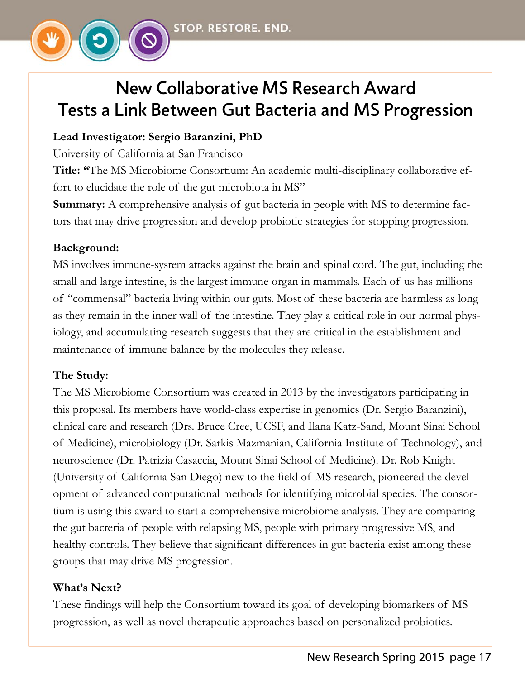# New Collaborative MS Research Award Tests a Link Between Gut Bacteria and MS Progression

### **Lead Investigator: Sergio Baranzini, PhD**

University of California at San Francisco

**Title: "**The MS Microbiome Consortium: An academic multi-disciplinary collaborative effort to elucidate the role of the gut microbiota in MS"

**Summary:** A comprehensive analysis of gut bacteria in people with MS to determine factors that may drive progression and develop probiotic strategies for stopping progression.

# **Background:**

MS involves immune-system attacks against the brain and spinal cord. The gut, including the small and large intestine, is the largest immune organ in mammals. Each of us has millions of "commensal" bacteria living within our guts. Most of these bacteria are harmless as long as they remain in the inner wall of the intestine. They play a critical role in our normal physiology, and accumulating research suggests that they are critical in the establishment and maintenance of immune balance by the molecules they release.

### **The Study:**

The MS Microbiome Consortium was created in 2013 by the investigators participating in this proposal. Its members have world-class expertise in genomics (Dr. Sergio Baranzini), clinical care and research (Drs. Bruce Cree, UCSF, and Ilana Katz-Sand, Mount Sinai School of Medicine), microbiology (Dr. Sarkis Mazmanian, California Institute of Technology), and neuroscience (Dr. Patrizia Casaccia, Mount Sinai School of Medicine). Dr. Rob Knight (University of California San Diego) new to the field of MS research, pioneered the development of advanced computational methods for identifying microbial species. The consortium is using this award to start a comprehensive microbiome analysis. They are comparing the gut bacteria of people with relapsing MS, people with primary progressive MS, and healthy controls. They believe that significant differences in gut bacteria exist among these groups that may drive MS progression.

### **What's Next?**

These findings will help the Consortium toward its goal of developing biomarkers of MS progression, as well as novel therapeutic approaches based on personalized probiotics.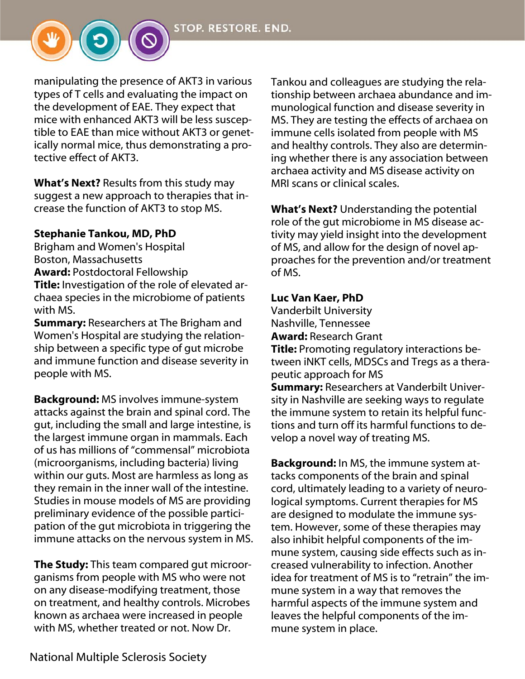

within our guts. Most are harmless as long as they remain in the inner wall of the intestine. Studies in mouse models of MS are providing preliminary evidence of the possible participation of the gut microbiota in triggering the immune attacks on the nervous system in MS.

**The Study:** This team compared gut microorganisms from people with MS who were not on any disease-modifying treatment, those on treatment, and healthy controls. Microbes known as archaea were increased in people with MS, whether treated or not. Now Dr.

Tankou and colleagues are studying the relationship between archaea abundance and immunological function and disease severity in MS. They are testing the effects of archaea on immune cells isolated from people with MS and healthy controls. They also are determining whether there is any association between archaea activity and MS disease activity on MRI scans or clinical scales.

What's Next? Understanding the potential role of the gut microbiome in MS disease activity may yield insight into the development of MS, and allow for the design of novel approaches for the prevention and/or treatment of MS.

#### Luc Van Kaer, PhD

Vanderbilt University Nashville, Tennessee

Award: Research Grant

Title: Promoting regulatory interactions between iNKT cells, MDSCs and Tregs as a therapeutic approach for MS

Summary: Researchers at Vanderbilt University in Nashville are seeking ways to regulate the immune system to retain its helpful functions and turn off its harmful functions to develop a novel way of treating MS.

Background: In MS, the immune system attacks components of the brain and spinal cord, ultimately leading to a variety of neurological symptoms. Current therapies for MS are designed to modulate the immune system. However, some of these therapies may also inhibit helpful components of the immune system, causing side effects such as increased vulnerability to infection. Another idea for treatment of MS is to "retrain" the immune system in a way that removes the harmful aspects of the immune system and leaves the helpful components of the immune system in place.



tective effect of AKT3.

manipulating the presence of AKT3 in various types of T cells and evaluating the impact on the development of EAE. They expect that mice with enhanced AKT3 will be less susceptible to EAE than mice without AKT3 or genetically normal mice, thus demonstrating a pro-

What's Next? Results from this study may suggest a new approach to therapies that in-

**Title:** Investigation of the role of elevated archaea species in the microbiome of patients

**Summary:** Researchers at The Brigham and Women's Hospital are studying the relationship between a specific type of gut microbe and immune function and disease severity in

Background: MS involves immune-system attacks against the brain and spinal cord. The gut, including the small and large intestine, is the largest immune organ in mammals. Each of us has millions of "commensal" microbiota

crease the function of AKT3 to stop MS.

Stephanie Tankou, MD, PhD Brigham and Women's Hospital

Award: Postdoctoral Fellowship

Boston, Massachusetts

with MS.

people with MS.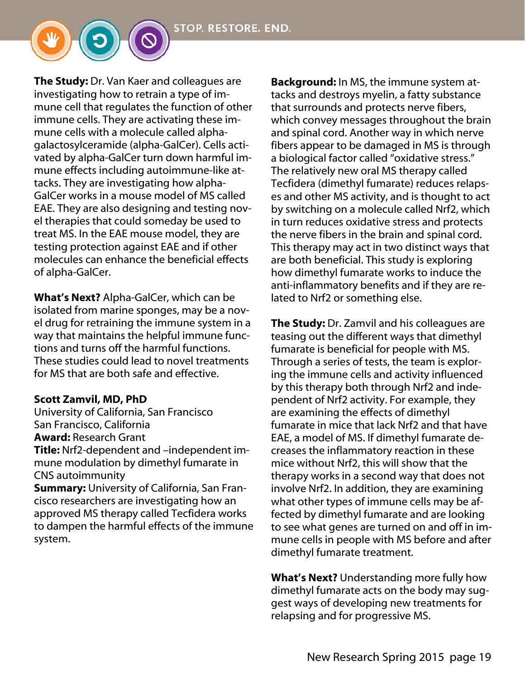The Study: Dr. Van Kaer and colleagues are investigating how to retrain a type of immune cell that regulates the function of other immune cells. They are activating these immune cells with a molecule called alphagalactosylceramide (alpha-GalCer). Cells activated by alpha-GalCer turn down harmful immune effects including autoimmune-like attacks. They are investigating how alpha-GalCer works in a mouse model of MS called EAE. They are also designing and testing novel therapies that could someday be used to treat MS. In the EAE mouse model, they are testing protection against EAE and if other molecules can enhance the beneficial effects of alpha-GalCer.

What's Next? Alpha-GalCer, which can be isolated from marine sponges, may be a novel drug for retraining the immune system in a way that maintains the helpful immune functions and turns off the harmful functions. These studies could lead to novel treatments for MS that are both safe and effective.

#### Scott Zamvil, MD, PhD

University of California, San Francisco San Francisco, California Award: Research Grant Title: Nrf2-dependent and –independent immune modulation by dimethyl fumarate in CNS autoimmunity

**Summary:** University of California, San Francisco researchers are investigating how an approved MS therapy called Tecfidera works to dampen the harmful effects of the immune system.

Background: In MS, the immune system attacks and destroys myelin, a fatty substance that surrounds and protects nerve fibers, which convey messages throughout the brain and spinal cord. Another way in which nerve fibers appear to be damaged in MS is through a biological factor called "oxidative stress." The relatively new oral MS therapy called Tecfidera (dimethyl fumarate) reduces relapses and other MS activity, and is thought to act by switching on a molecule called Nrf2, which in turn reduces oxidative stress and protects the nerve fibers in the brain and spinal cord. This therapy may act in two distinct ways that are both beneficial. This study is exploring how dimethyl fumarate works to induce the anti-inflammatory benefits and if they are related to Nrf2 or something else.

**The Study:** Dr. Zamvil and his colleagues are teasing out the different ways that dimethyl fumarate is beneficial for people with MS. Through a series of tests, the team is exploring the immune cells and activity influenced by this therapy both through Nrf2 and independent of Nrf2 activity. For example, they are examining the effects of dimethyl fumarate in mice that lack Nrf2 and that have EAE, a model of MS. If dimethyl fumarate decreases the inflammatory reaction in these mice without Nrf2, this will show that the therapy works in a second way that does not involve Nrf2. In addition, they are examining what other types of immune cells may be affected by dimethyl fumarate and are looking to see what genes are turned on and off in immune cells in people with MS before and after dimethyl fumarate treatment.

What's Next? Understanding more fully how dimethyl fumarate acts on the body may suggest ways of developing new treatments for relapsing and for progressive MS.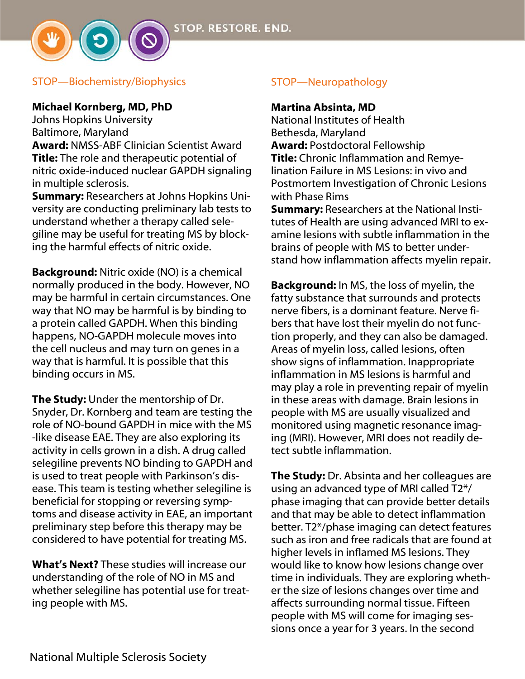

#### Michael Kornberg, MD, PhD

Johns Hopkins University Baltimore, Maryland

Award: NMSS-ABF Clinician Scientist Award Title: The role and therapeutic potential of nitric oxide-induced nuclear GAPDH signaling in multiple sclerosis.

Summary: Researchers at Johns Hopkins University are conducting preliminary lab tests to understand whether a therapy called selegiline may be useful for treating MS by blocking the harmful effects of nitric oxide.

Background: Nitric oxide (NO) is a chemical normally produced in the body. However, NO may be harmful in certain circumstances. One way that NO may be harmful is by binding to a protein called GAPDH. When this binding happens, NO-GAPDH molecule moves into the cell nucleus and may turn on genes in a way that is harmful. It is possible that this binding occurs in MS.

The Study: Under the mentorship of Dr. Snyder, Dr. Kornberg and team are testing the role of NO-bound GAPDH in mice with the MS -like disease EAE. They are also exploring its activity in cells grown in a dish. A drug called selegiline prevents NO binding to GAPDH and is used to treat people with Parkinson's disease. This team is testing whether selegiline is beneficial for stopping or reversing symptoms and disease activity in EAE, an important preliminary step before this therapy may be considered to have potential for treating MS.

What's Next? These studies will increase our understanding of the role of NO in MS and whether selegiline has potential use for treating people with MS.

### STOP—Neuropathology

#### Martina Absinta, MD

National Institutes of Health Bethesda, Maryland Award: Postdoctoral Fellowship **Title:** Chronic Inflammation and Remyelination Failure in MS Lesions: in vivo and Postmortem Investigation of Chronic Lesions with Phase Rims

Summary: Researchers at the National Institutes of Health are using advanced MRI to examine lesions with subtle inflammation in the brains of people with MS to better understand how inflammation affects myelin repair.

Background: In MS, the loss of myelin, the fatty substance that surrounds and protects nerve fibers, is a dominant feature. Nerve fibers that have lost their myelin do not function properly, and they can also be damaged. Areas of myelin loss, called lesions, often show signs of inflammation. Inappropriate inflammation in MS lesions is harmful and may play a role in preventing repair of myelin in these areas with damage. Brain lesions in people with MS are usually visualized and monitored using magnetic resonance imaging (MRI). However, MRI does not readily detect subtle inflammation.

The Study: Dr. Absinta and her colleagues are using an advanced type of MRI called T2\*/ phase imaging that can provide better details and that may be able to detect inflammation better. T2\*/phase imaging can detect features such as iron and free radicals that are found at higher levels in inflamed MS lesions. They would like to know how lesions change over time in individuals. They are exploring whether the size of lesions changes over time and affects surrounding normal tissue. Fifteen people with MS will come for imaging sessions once a year for 3 years. In the second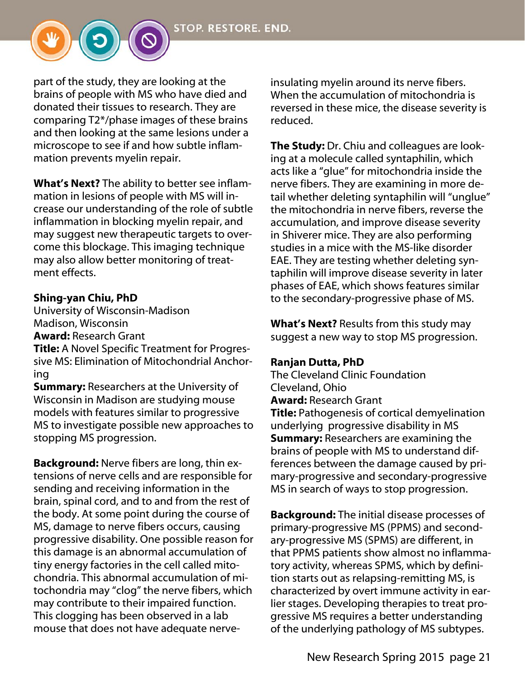**STOP. RESTORE. END.** 

part of the study, they are looking at the brains of people with MS who have died and donated their tissues to research. They are comparing T2\*/phase images of these brains and then looking at the same lesions under a microscope to see if and how subtle inflammation prevents myelin repair.

What's Next? The ability to better see inflammation in lesions of people with MS will increase our understanding of the role of subtle inflammation in blocking myelin repair, and may suggest new therapeutic targets to overcome this blockage. This imaging technique may also allow better monitoring of treatment effects.

#### Shing-yan Chiu, PhD

University of Wisconsin-Madison Madison, Wisconsin Award: Research Grant

Title: A Novel Specific Treatment for Progressive MS: Elimination of Mitochondrial Anchoring

**Summary: Researchers at the University of** Wisconsin in Madison are studying mouse models with features similar to progressive MS to investigate possible new approaches to stopping MS progression.

**Background:** Nerve fibers are long, thin extensions of nerve cells and are responsible for sending and receiving information in the brain, spinal cord, and to and from the rest of the body. At some point during the course of MS, damage to nerve fibers occurs, causing progressive disability. One possible reason for this damage is an abnormal accumulation of tiny energy factories in the cell called mitochondria. This abnormal accumulation of mitochondria may "clog" the nerve fibers, which may contribute to their impaired function. This clogging has been observed in a lab mouse that does not have adequate nerveinsulating myelin around its nerve fibers. When the accumulation of mitochondria is reversed in these mice, the disease severity is reduced.

The Study: Dr. Chiu and colleagues are looking at a molecule called syntaphilin, which acts like a "glue" for mitochondria inside the nerve fibers. They are examining in more detail whether deleting syntaphilin will "unglue" the mitochondria in nerve fibers, reverse the accumulation, and improve disease severity in Shiverer mice. They are also performing studies in a mice with the MS-like disorder EAE. They are testing whether deleting syntaphilin will improve disease severity in later phases of EAE, which shows features similar to the secondary-progressive phase of MS.

**What's Next?** Results from this study may suggest a new way to stop MS progression.

#### Ranjan Dutta, PhD

The Cleveland Clinic Foundation Cleveland, Ohio Award: Research Grant **Title:** Pathogenesis of cortical demyelination underlying progressive disability in MS Summary: Researchers are examining the brains of people with MS to understand differences between the damage caused by primary-progressive and secondary-progressive MS in search of ways to stop progression.

**Background:** The initial disease processes of primary-progressive MS (PPMS) and secondary-progressive MS (SPMS) are different, in that PPMS patients show almost no inflammatory activity, whereas SPMS, which by definition starts out as relapsing-remitting MS, is characterized by overt immune activity in earlier stages. Developing therapies to treat progressive MS requires a better understanding of the underlying pathology of MS subtypes.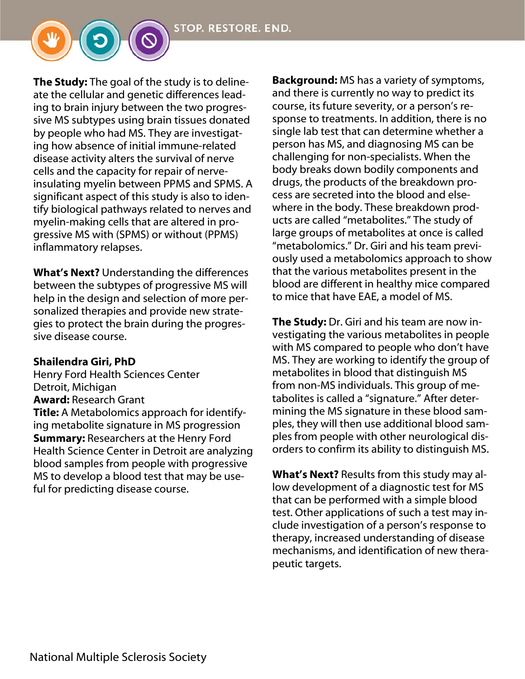**The Study:** The goal of the study is to delineate the cellular and genetic differences leading to brain injury between the two progressive MS subtypes using brain tissues donated by people who had MS. They are investigating how absence of initial immune-related disease activity alters the survival of nerve cells and the capacity for repair of nerveinsulating myelin between PPMS and SPMS. A significant aspect of this study is also to identify biological pathways related to nerves and myelin-making cells that are altered in progressive MS with (SPMS) or without (PPMS) inflammatory relapses.

**What's Next?** Understanding the differences between the subtypes of progressive MS will help in the design and selection of more personalized therapies and provide new strategies to protect the brain during the progressive disease course.

#### Shailendra Giri, PhD

Henry Ford Health Sciences Center Detroit, Michigan Award: Research Grant **Title:** A Metabolomics approach for identifying metabolite signature in MS progression **Summary: Researchers at the Henry Ford** Health Science Center in Detroit are analyzing blood samples from people with progressive MS to develop a blood test that may be useful for predicting disease course.

Background: MS has a variety of symptoms, and there is currently no way to predict its course, its future severity, or a person's response to treatments. In addition, there is no single lab test that can determine whether a person has MS, and diagnosing MS can be challenging for non-specialists. When the body breaks down bodily components and drugs, the products of the breakdown process are secreted into the blood and elsewhere in the body. These breakdown products are called "metabolites." The study of large groups of metabolites at once is called "metabolomics." Dr. Giri and his team previously used a metabolomics approach to show that the various metabolites present in the blood are different in healthy mice compared to mice that have EAE, a model of MS.

The Study: Dr. Giri and his team are now investigating the various metabolites in people with MS compared to people who don't have MS. They are working to identify the group of metabolites in blood that distinguish MS from non-MS individuals. This group of metabolites is called a "signature." After determining the MS signature in these blood samples, they will then use additional blood samples from people with other neurological disorders to confirm its ability to distinguish MS.

What's Next? Results from this study may allow development of a diagnostic test for MS that can be performed with a simple blood test. Other applications of such a test may include investigation of a person's response to therapy, increased understanding of disease mechanisms, and identification of new therapeutic targets.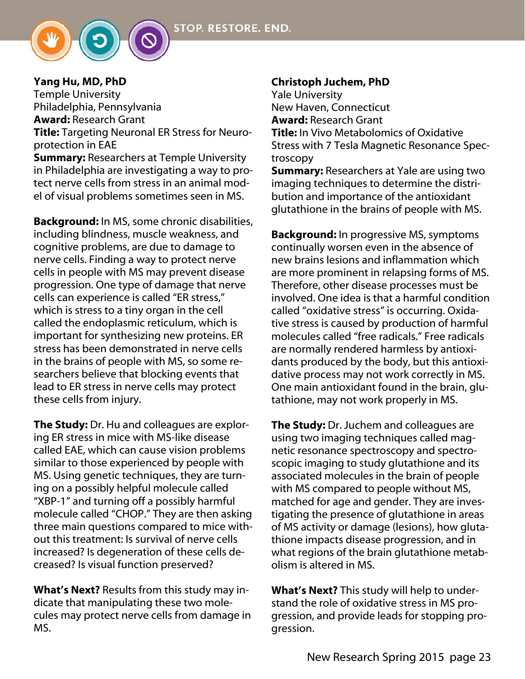

Yang Hu, MD, PhD Temple University Philadelphia, Pennsylvania Award: Research Grant Title: Targeting Neuronal ER Stress for Neuroprotection in EAE **Summary: Researchers at Temple University** in Philadelphia are investigating a way to protect nerve cells from stress in an animal model of visual problems sometimes seen in MS.

Background: In MS, some chronic disabilities, including blindness, muscle weakness, and cognitive problems, are due to damage to nerve cells. Finding a way to protect nerve cells in people with MS may prevent disease progression. One type of damage that nerve cells can experience is called "ER stress," which is stress to a tiny organ in the cell called the endoplasmic reticulum, which is important for synthesizing new proteins. ER stress has been demonstrated in nerve cells in the brains of people with MS, so some researchers believe that blocking events that lead to ER stress in nerve cells may protect these cells from injury.

**The Study:** Dr. Hu and colleagues are exploring ER stress in mice with MS-like disease called EAE, which can cause vision problems similar to those experienced by people with MS. Using genetic techniques, they are turning on a possibly helpful molecule called "XBP-1" and turning off a possibly harmful molecule called "CHOP." They are then asking three main questions compared to mice without this treatment: Is survival of nerve cells increased? Is degeneration of these cells decreased? Is visual function preserved?

What's Next? Results from this study may indicate that manipulating these two molecules may protect nerve cells from damage in MS.

### Christoph Juchem, PhD

Yale University New Haven, Connecticut Award: Research Grant Title: In Vivo Metabolomics of Oxidative Stress with 7 Tesla Magnetic Resonance Spectroscopy

**Summary:** Researchers at Yale are using two imaging techniques to determine the distribution and importance of the antioxidant glutathione in the brains of people with MS.

Background: In progressive MS, symptoms continually worsen even in the absence of new brains lesions and inflammation which are more prominent in relapsing forms of MS. Therefore, other disease processes must be involved. One idea is that a harmful condition called "oxidative stress" is occurring. Oxidative stress is caused by production of harmful molecules called "free radicals." Free radicals are normally rendered harmless by antioxidants produced by the body, but this antioxidative process may not work correctly in MS. One main antioxidant found in the brain, glutathione, may not work properly in MS.

The Study: Dr. Juchem and colleagues are using two imaging techniques called magnetic resonance spectroscopy and spectroscopic imaging to study glutathione and its associated molecules in the brain of people with MS compared to people without MS, matched for age and gender. They are investigating the presence of glutathione in areas of MS activity or damage (lesions), how glutathione impacts disease progression, and in what regions of the brain glutathione metabolism is altered in MS.

What's Next? This study will help to understand the role of oxidative stress in MS progression, and provide leads for stopping progression.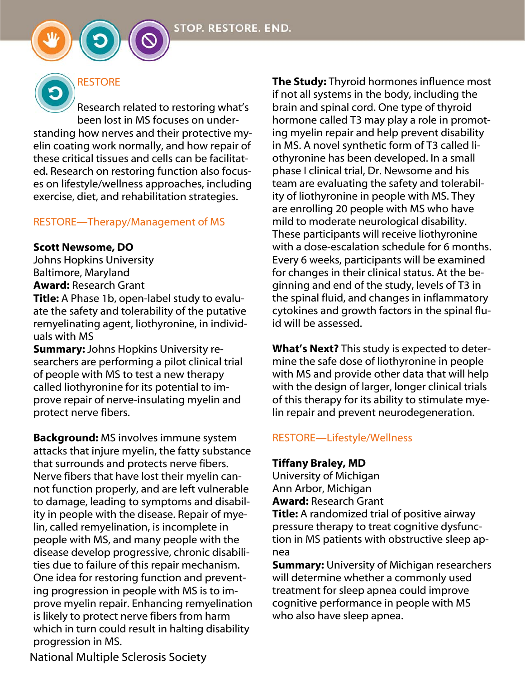# **RESTORE**

Research related to restoring what's been lost in MS focuses on understanding how nerves and their protective myelin coating work normally, and how repair of these critical tissues and cells can be facilitated. Research on restoring function also focuses on lifestyle/wellness approaches, including exercise, diet, and rehabilitation strategies.

#### RESTORE—Therapy/Management of MS

#### Scott Newsome, DO

Johns Hopkins University Baltimore, Maryland Award: Research Grant

**Title:** A Phase 1b, open-label study to evaluate the safety and tolerability of the putative remyelinating agent, liothyronine, in individuals with MS

**Summary: Johns Hopkins University re**searchers are performing a pilot clinical trial of people with MS to test a new therapy called liothyronine for its potential to improve repair of nerve-insulating myelin and protect nerve fibers.

**Background:** MS involves immune system attacks that injure myelin, the fatty substance that surrounds and protects nerve fibers. Nerve fibers that have lost their myelin cannot function properly, and are left vulnerable to damage, leading to symptoms and disability in people with the disease. Repair of myelin, called remyelination, is incomplete in people with MS, and many people with the disease develop progressive, chronic disabilities due to failure of this repair mechanism. One idea for restoring function and preventing progression in people with MS is to improve myelin repair. Enhancing remyelination is likely to protect nerve fibers from harm which in turn could result in halting disability progression in MS.

**The Study:** Thyroid hormones influence most if not all systems in the body, including the brain and spinal cord. One type of thyroid hormone called T3 may play a role in promoting myelin repair and help prevent disability in MS. A novel synthetic form of T3 called liothyronine has been developed. In a small phase I clinical trial, Dr. Newsome and his team are evaluating the safety and tolerability of liothyronine in people with MS. They are enrolling 20 people with MS who have mild to moderate neurological disability. These participants will receive liothyronine with a dose-escalation schedule for 6 months. Every 6 weeks, participants will be examined for changes in their clinical status. At the beginning and end of the study, levels of T3 in the spinal fluid, and changes in inflammatory cytokines and growth factors in the spinal fluid will be assessed.

What's Next? This study is expected to determine the safe dose of liothyronine in people with MS and provide other data that will help with the design of larger, longer clinical trials of this therapy for its ability to stimulate myelin repair and prevent neurodegeneration.

### RESTORE—Lifestyle/Wellness

#### Tiffany Braley, MD

University of Michigan Ann Arbor, Michigan Award: Research Grant

**Title:** A randomized trial of positive airway pressure therapy to treat cognitive dysfunction in MS patients with obstructive sleep apnea

**Summary:** University of Michigan researchers will determine whether a commonly used treatment for sleep apnea could improve cognitive performance in people with MS who also have sleep apnea.

National Multiple Sclerosis Society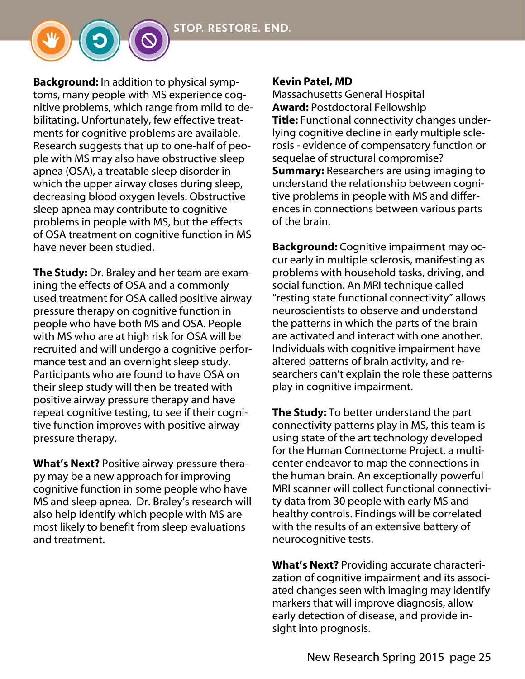**Background:** In addition to physical symptoms, many people with MS experience cognitive problems, which range from mild to debilitating. Unfortunately, few effective treatments for cognitive problems are available. Research suggests that up to one-half of people with MS may also have obstructive sleep apnea (OSA), a treatable sleep disorder in which the upper airway closes during sleep, decreasing blood oxygen levels. Obstructive sleep apnea may contribute to cognitive problems in people with MS, but the effects of OSA treatment on cognitive function in MS have never been studied.

**The Study:** Dr. Braley and her team are examining the effects of OSA and a commonly used treatment for OSA called positive airway pressure therapy on cognitive function in people who have both MS and OSA. People with MS who are at high risk for OSA will be recruited and will undergo a cognitive performance test and an overnight sleep study. Participants who are found to have OSA on their sleep study will then be treated with positive airway pressure therapy and have repeat cognitive testing, to see if their cognitive function improves with positive airway pressure therapy.

What's Next? Positive airway pressure therapy may be a new approach for improving cognitive function in some people who have MS and sleep apnea. Dr. Braley's research will also help identify which people with MS are most likely to benefit from sleep evaluations and treatment.

#### Kevin Patel, MD

Massachusetts General Hospital Award: Postdoctoral Fellowship

Title: Functional connectivity changes underlying cognitive decline in early multiple sclerosis - evidence of compensatory function or sequelae of structural compromise? **Summary:** Researchers are using imaging to understand the relationship between cognitive problems in people with MS and differences in connections between various parts of the brain.

Background: Cognitive impairment may occur early in multiple sclerosis, manifesting as problems with household tasks, driving, and social function. An MRI technique called "resting state functional connectivity" allows neuroscientists to observe and understand the patterns in which the parts of the brain are activated and interact with one another. Individuals with cognitive impairment have altered patterns of brain activity, and researchers can't explain the role these patterns play in cognitive impairment.

**The Study:** To better understand the part connectivity patterns play in MS, this team is using state of the art technology developed for the Human Connectome Project, a multicenter endeavor to map the connections in the human brain. An exceptionally powerful MRI scanner will collect functional connectivity data from 30 people with early MS and healthy controls. Findings will be correlated with the results of an extensive battery of neurocognitive tests.

What's Next? Providing accurate characterization of cognitive impairment and its associated changes seen with imaging may identify markers that will improve diagnosis, allow early detection of disease, and provide insight into prognosis.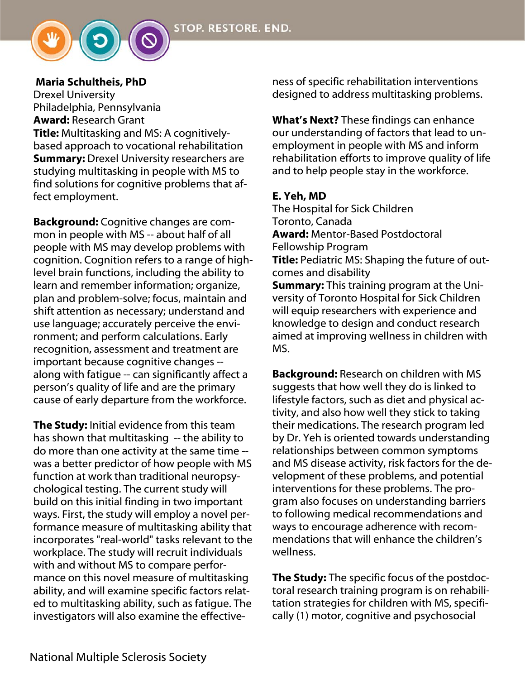

#### Maria Schultheis, PhD

Drexel University Philadelphia, Pennsylvania **Award: Research Grant** Title: Multitasking and MS: A cognitivelybased approach to vocational rehabilitation **Summary:** Drexel University researchers are studying multitasking in people with MS to find solutions for cognitive problems that affect employment.

**Background:** Cognitive changes are common in people with MS -- about half of all people with MS may develop problems with cognition. Cognition refers to a range of highlevel brain functions, including the ability to learn and remember information; organize, plan and problem-solve; focus, maintain and shift attention as necessary; understand and use language; accurately perceive the environment; and perform calculations. Early recognition, assessment and treatment are important because cognitive changes - along with fatigue -- can significantly affect a person's quality of life and are the primary cause of early departure from the workforce.

The Study: Initial evidence from this team has shown that multitasking -- the ability to do more than one activity at the same time - was a better predictor of how people with MS function at work than traditional neuropsychological testing. The current study will build on this initial finding in two important ways. First, the study will employ a novel performance measure of multitasking ability that incorporates "real-world" tasks relevant to the workplace. The study will recruit individuals with and without MS to compare performance on this novel measure of multitasking ability, and will examine specific factors related to multitasking ability, such as fatigue. The investigators will also examine the effectiveness of specific rehabilitation interventions designed to address multitasking problems.

What's Next? These findings can enhance our understanding of factors that lead to unemployment in people with MS and inform rehabilitation efforts to improve quality of life and to help people stay in the workforce.

#### E. Yeh, MD

The Hospital for Sick Children Toronto, Canada Award: Mentor-Based Postdoctoral Fellowship Program Title: Pediatric MS: Shaping the future of outcomes and disability **Summary:** This training program at the University of Toronto Hospital for Sick Children will equip researchers with experience and knowledge to design and conduct research aimed at improving wellness in children with MS.

Background: Research on children with MS suggests that how well they do is linked to lifestyle factors, such as diet and physical activity, and also how well they stick to taking their medications. The research program led by Dr. Yeh is oriented towards understanding relationships between common symptoms and MS disease activity, risk factors for the development of these problems, and potential interventions for these problems. The program also focuses on understanding barriers to following medical recommendations and ways to encourage adherence with recommendations that will enhance the children's wellness.

The Study: The specific focus of the postdoctoral research training program is on rehabilitation strategies for children with MS, specifically (1) motor, cognitive and psychosocial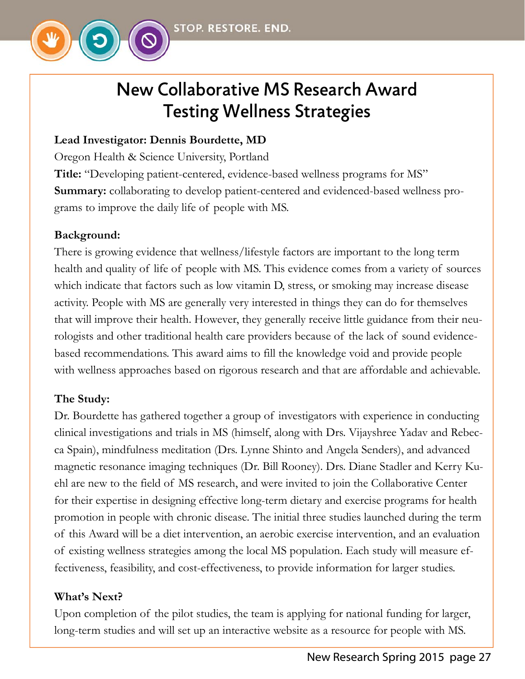

# New Collaborative MS Research Award Testing Wellness Strategies

# **Lead Investigator: Dennis Bourdette, MD**

Oregon Health & Science University, Portland

**Title:** "Developing patient-centered, evidence-based wellness programs for MS" **Summary:** collaborating to develop patient-centered and evidenced-based wellness programs to improve the daily life of people with MS.

# **Background:**

There is growing evidence that wellness/lifestyle factors are important to the long term health and quality of life of people with MS. This evidence comes from a variety of sources which indicate that factors such as low vitamin D, stress, or smoking may increase disease activity. People with MS are generally very interested in things they can do for themselves that will improve their health. However, they generally receive little guidance from their neurologists and other traditional health care providers because of the lack of sound evidencebased recommendations. This award aims to fill the knowledge void and provide people with wellness approaches based on rigorous research and that are affordable and achievable.

# **The Study:**

Dr. Bourdette has gathered together a group of investigators with experience in conducting clinical investigations and trials in MS (himself, along with Drs. Vijayshree Yadav and Rebecca Spain), mindfulness meditation (Drs. Lynne Shinto and Angela Senders), and advanced magnetic resonance imaging techniques (Dr. Bill Rooney). Drs. Diane Stadler and Kerry Kuehl are new to the field of MS research, and were invited to join the Collaborative Center for their expertise in designing effective long-term dietary and exercise programs for health promotion in people with chronic disease. The initial three studies launched during the term of this Award will be a diet intervention, an aerobic exercise intervention, and an evaluation of existing wellness strategies among the local MS population. Each study will measure effectiveness, feasibility, and cost-effectiveness, to provide information for larger studies.

# **What's Next?**

Upon completion of the pilot studies, the team is applying for national funding for larger, long-term studies and will set up an interactive website as a resource for people with MS.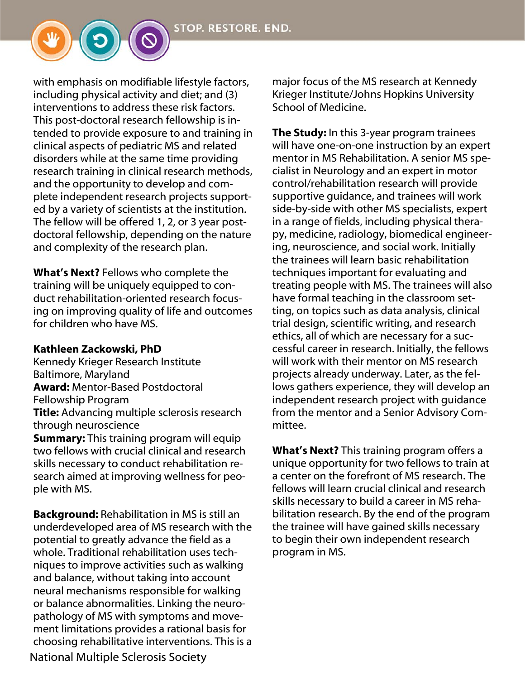with emphasis on modifiable lifestyle factors, including physical activity and diet; and (3) interventions to address these risk factors. This post-doctoral research fellowship is intended to provide exposure to and training in clinical aspects of pediatric MS and related disorders while at the same time providing research training in clinical research methods, and the opportunity to develop and complete independent research projects supported by a variety of scientists at the institution. The fellow will be offered 1, 2, or 3 year postdoctoral fellowship, depending on the nature and complexity of the research plan.

What's Next? Fellows who complete the training will be uniquely equipped to conduct rehabilitation-oriented research focusing on improving quality of life and outcomes for children who have MS.

#### Kathleen Zackowski, PhD

Kennedy Krieger Research Institute Baltimore, Maryland Award: Mentor-Based Postdoctoral Fellowship Program **Title:** Advancing multiple sclerosis research through neuroscience **Summary:** This training program will equip two fellows with crucial clinical and research skills necessary to conduct rehabilitation research aimed at improving wellness for people with MS.

National Multiple Sclerosis Society **Background:** Rehabilitation in MS is still an underdeveloped area of MS research with the potential to greatly advance the field as a whole. Traditional rehabilitation uses techniques to improve activities such as walking and balance, without taking into account neural mechanisms responsible for walking or balance abnormalities. Linking the neuropathology of MS with symptoms and movement limitations provides a rational basis for choosing rehabilitative interventions. This is a major focus of the MS research at Kennedy Krieger Institute/Johns Hopkins University School of Medicine.

The Study: In this 3-year program trainees will have one-on-one instruction by an expert mentor in MS Rehabilitation. A senior MS specialist in Neurology and an expert in motor control/rehabilitation research will provide supportive guidance, and trainees will work side-by-side with other MS specialists, expert in a range of fields, including physical therapy, medicine, radiology, biomedical engineering, neuroscience, and social work. Initially the trainees will learn basic rehabilitation techniques important for evaluating and treating people with MS. The trainees will also have formal teaching in the classroom setting, on topics such as data analysis, clinical trial design, scientific writing, and research ethics, all of which are necessary for a successful career in research. Initially, the fellows will work with their mentor on MS research projects already underway. Later, as the fellows gathers experience, they will develop an independent research project with guidance from the mentor and a Senior Advisory Committee.

What's Next? This training program offers a unique opportunity for two fellows to train at a center on the forefront of MS research. The fellows will learn crucial clinical and research skills necessary to build a career in MS rehabilitation research. By the end of the program the trainee will have gained skills necessary to begin their own independent research program in MS.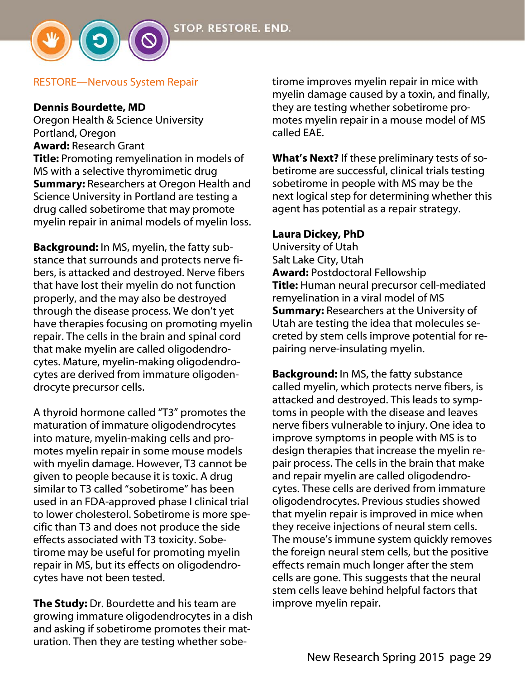

#### Dennis Bourdette, MD

Oregon Health & Science University Portland, Oregon Award: Research Grant **Title:** Promoting remyelination in models of MS with a selective thyromimetic drug **Summary:** Researchers at Oregon Health and Science University in Portland are testing a drug called sobetirome that may promote myelin repair in animal models of myelin loss.

**Background:** In MS, myelin, the fatty substance that surrounds and protects nerve fibers, is attacked and destroyed. Nerve fibers that have lost their myelin do not function properly, and the may also be destroyed through the disease process. We don't yet have therapies focusing on promoting myelin repair. The cells in the brain and spinal cord that make myelin are called oligodendrocytes. Mature, myelin-making oligodendrocytes are derived from immature oligodendrocyte precursor cells.

A thyroid hormone called "T3" promotes the maturation of immature oligodendrocytes into mature, myelin-making cells and promotes myelin repair in some mouse models with myelin damage. However, T3 cannot be given to people because it is toxic. A drug similar to T3 called "sobetirome" has been used in an FDA-approved phase I clinical trial to lower cholesterol. Sobetirome is more specific than T3 and does not produce the side effects associated with T3 toxicity. Sobetirome may be useful for promoting myelin repair in MS, but its effects on oligodendrocytes have not been tested.

The Study: Dr. Bourdette and his team are growing immature oligodendrocytes in a dish and asking if sobetirome promotes their maturation. Then they are testing whether sobetirome improves myelin repair in mice with myelin damage caused by a toxin, and finally, they are testing whether sobetirome promotes myelin repair in a mouse model of MS called EAE.

**What's Next?** If these preliminary tests of sobetirome are successful, clinical trials testing sobetirome in people with MS may be the next logical step for determining whether this agent has potential as a repair strategy.

#### Laura Dickey, PhD

University of Utah Salt Lake City, Utah Award: Postdoctoral Fellowship Title: Human neural precursor cell-mediated remyelination in a viral model of MS **Summary: Researchers at the University of** Utah are testing the idea that molecules secreted by stem cells improve potential for repairing nerve-insulating myelin.

Background: In MS, the fatty substance called myelin, which protects nerve fibers, is attacked and destroyed. This leads to symptoms in people with the disease and leaves nerve fibers vulnerable to injury. One idea to improve symptoms in people with MS is to design therapies that increase the myelin repair process. The cells in the brain that make and repair myelin are called oligodendrocytes. These cells are derived from immature oligodendrocytes. Previous studies showed that myelin repair is improved in mice when they receive injections of neural stem cells. The mouse's immune system quickly removes the foreign neural stem cells, but the positive effects remain much longer after the stem cells are gone. This suggests that the neural stem cells leave behind helpful factors that improve myelin repair.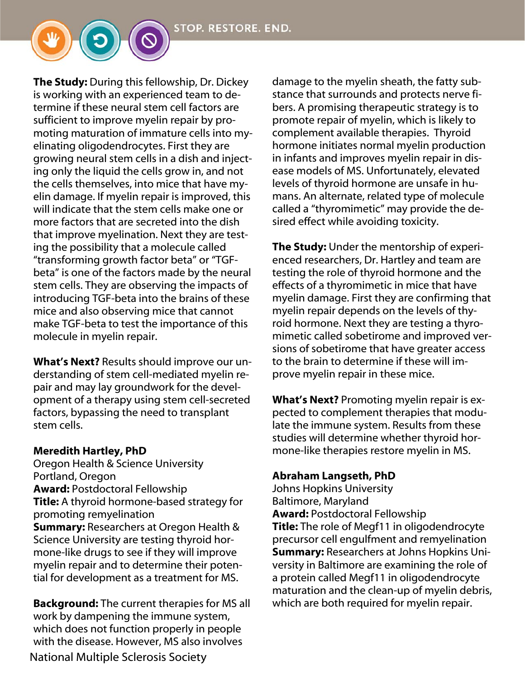**The Study:** During this fellowship, Dr. Dickey is working with an experienced team to determine if these neural stem cell factors are sufficient to improve myelin repair by promoting maturation of immature cells into myelinating oligodendrocytes. First they are growing neural stem cells in a dish and injecting only the liquid the cells grow in, and not the cells themselves, into mice that have myelin damage. If myelin repair is improved, this will indicate that the stem cells make one or more factors that are secreted into the dish that improve myelination. Next they are testing the possibility that a molecule called "transforming growth factor beta" or "TGFbeta" is one of the factors made by the neural stem cells. They are observing the impacts of introducing TGF-beta into the brains of these mice and also observing mice that cannot make TGF-beta to test the importance of this molecule in myelin repair.

What's Next? Results should improve our understanding of stem cell-mediated myelin repair and may lay groundwork for the development of a therapy using stem cell-secreted factors, bypassing the need to transplant stem cells.

#### Meredith Hartley, PhD

Oregon Health & Science University Portland, Oregon Award: Postdoctoral Fellowship Title: A thyroid hormone-based strategy for promoting remyelination **Summary:** Researchers at Oregon Health & Science University are testing thyroid hormone-like drugs to see if they will improve myelin repair and to determine their potential for development as a treatment for MS.

National Multiple Sclerosis Society **Background:** The current therapies for MS all work by dampening the immune system, which does not function properly in people with the disease. However, MS also involves

damage to the myelin sheath, the fatty substance that surrounds and protects nerve fibers. A promising therapeutic strategy is to promote repair of myelin, which is likely to complement available therapies. Thyroid hormone initiates normal myelin production in infants and improves myelin repair in disease models of MS. Unfortunately, elevated levels of thyroid hormone are unsafe in humans. An alternate, related type of molecule called a "thyromimetic" may provide the desired effect while avoiding toxicity.

**The Study:** Under the mentorship of experienced researchers, Dr. Hartley and team are testing the role of thyroid hormone and the effects of a thyromimetic in mice that have myelin damage. First they are confirming that myelin repair depends on the levels of thyroid hormone. Next they are testing a thyromimetic called sobetirome and improved versions of sobetirome that have greater access to the brain to determine if these will improve myelin repair in these mice.

What's Next? Promoting myelin repair is expected to complement therapies that modulate the immune system. Results from these studies will determine whether thyroid hormone-like therapies restore myelin in MS.

### Abraham Langseth, PhD

Johns Hopkins University Baltimore, Maryland Award: Postdoctoral Fellowship **Title:** The role of Megf11 in oligodendrocyte precursor cell engulfment and remyelination **Summary: Researchers at Johns Hopkins Uni**versity in Baltimore are examining the role of a protein called Megf11 in oligodendrocyte maturation and the clean-up of myelin debris, which are both required for myelin repair.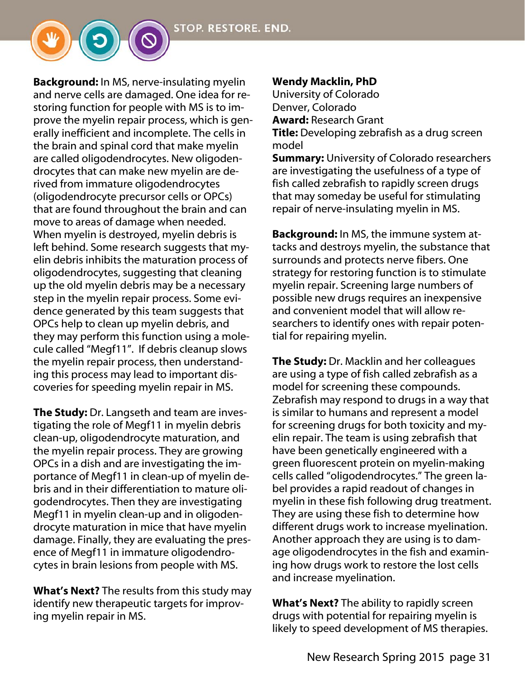**Background:** In MS, nerve-insulating myelin and nerve cells are damaged. One idea for restoring function for people with MS is to improve the myelin repair process, which is generally inefficient and incomplete. The cells in the brain and spinal cord that make myelin are called oligodendrocytes. New oligodendrocytes that can make new myelin are derived from immature oligodendrocytes (oligodendrocyte precursor cells or OPCs) that are found throughout the brain and can move to areas of damage when needed. When myelin is destroyed, myelin debris is left behind. Some research suggests that myelin debris inhibits the maturation process of oligodendrocytes, suggesting that cleaning up the old myelin debris may be a necessary step in the myelin repair process. Some evidence generated by this team suggests that OPCs help to clean up myelin debris, and they may perform this function using a molecule called "Megf11". If debris cleanup slows the myelin repair process, then understanding this process may lead to important discoveries for speeding myelin repair in MS.

**The Study:** Dr. Langseth and team are investigating the role of Megf11 in myelin debris clean-up, oligodendrocyte maturation, and the myelin repair process. They are growing OPCs in a dish and are investigating the importance of Megf11 in clean-up of myelin debris and in their differentiation to mature oligodendrocytes. Then they are investigating Megf11 in myelin clean-up and in oligodendrocyte maturation in mice that have myelin damage. Finally, they are evaluating the presence of Megf11 in immature oligodendrocytes in brain lesions from people with MS.

**What's Next?** The results from this study may identify new therapeutic targets for improving myelin repair in MS.

### Wendy Macklin, PhD

University of Colorado Denver, Colorado Award: Research Grant

**Title:** Developing zebrafish as a drug screen model

**Summary:** University of Colorado researchers are investigating the usefulness of a type of fish called zebrafish to rapidly screen drugs that may someday be useful for stimulating repair of nerve-insulating myelin in MS.

Background: In MS, the immune system attacks and destroys myelin, the substance that surrounds and protects nerve fibers. One strategy for restoring function is to stimulate myelin repair. Screening large numbers of possible new drugs requires an inexpensive and convenient model that will allow researchers to identify ones with repair potential for repairing myelin.

**The Study:** Dr. Macklin and her colleagues are using a type of fish called zebrafish as a model for screening these compounds. Zebrafish may respond to drugs in a way that is similar to humans and represent a model for screening drugs for both toxicity and myelin repair. The team is using zebrafish that have been genetically engineered with a green fluorescent protein on myelin-making cells called "oligodendrocytes." The green label provides a rapid readout of changes in myelin in these fish following drug treatment. They are using these fish to determine how different drugs work to increase myelination. Another approach they are using is to damage oligodendrocytes in the fish and examining how drugs work to restore the lost cells and increase myelination.

What's Next? The ability to rapidly screen drugs with potential for repairing myelin is likely to speed development of MS therapies.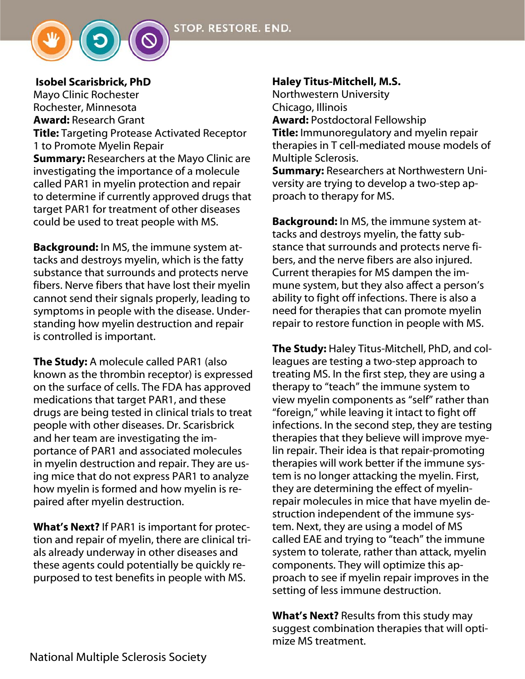

Isobel Scarisbrick, PhD Mayo Clinic Rochester Rochester, Minnesota Award: Research Grant **Title:** Targeting Protease Activated Receptor 1 to Promote Myelin Repair **Summary: Researchers at the Mayo Clinic are** investigating the importance of a molecule called PAR1 in myelin protection and repair to determine if currently approved drugs that target PAR1 for treatment of other diseases could be used to treat people with MS.

**Background:** In MS, the immune system attacks and destroys myelin, which is the fatty substance that surrounds and protects nerve fibers. Nerve fibers that have lost their myelin cannot send their signals properly, leading to symptoms in people with the disease. Understanding how myelin destruction and repair is controlled is important.

**The Study:** A molecule called PAR1 (also known as the thrombin receptor) is expressed on the surface of cells. The FDA has approved medications that target PAR1, and these drugs are being tested in clinical trials to treat people with other diseases. Dr. Scarisbrick and her team are investigating the importance of PAR1 and associated molecules in myelin destruction and repair. They are using mice that do not express PAR1 to analyze how myelin is formed and how myelin is repaired after myelin destruction.

**What's Next?** If PAR1 is important for protection and repair of myelin, there are clinical trials already underway in other diseases and these agents could potentially be quickly repurposed to test benefits in people with MS.

### Haley Titus-Mitchell, M.S.

Northwestern University Chicago, Illinois Award: Postdoctoral Fellowship **Title:** Immunoregulatory and myelin repair therapies in T cell-mediated mouse models of

Multiple Sclerosis. Summary: Researchers at Northwestern Uni-

versity are trying to develop a two-step approach to therapy for MS.

Background: In MS, the immune system attacks and destroys myelin, the fatty substance that surrounds and protects nerve fibers, and the nerve fibers are also injured. Current therapies for MS dampen the immune system, but they also affect a person's ability to fight off infections. There is also a need for therapies that can promote myelin repair to restore function in people with MS.

The Study: Haley Titus-Mitchell, PhD, and colleagues are testing a two-step approach to treating MS. In the first step, they are using a therapy to "teach" the immune system to view myelin components as "self" rather than "foreign," while leaving it intact to fight off infections. In the second step, they are testing therapies that they believe will improve myelin repair. Their idea is that repair-promoting therapies will work better if the immune system is no longer attacking the myelin. First, they are determining the effect of myelinrepair molecules in mice that have myelin destruction independent of the immune system. Next, they are using a model of MS called EAE and trying to "teach" the immune system to tolerate, rather than attack, myelin components. They will optimize this approach to see if myelin repair improves in the setting of less immune destruction.

What's Next? Results from this study may suggest combination therapies that will optimize MS treatment.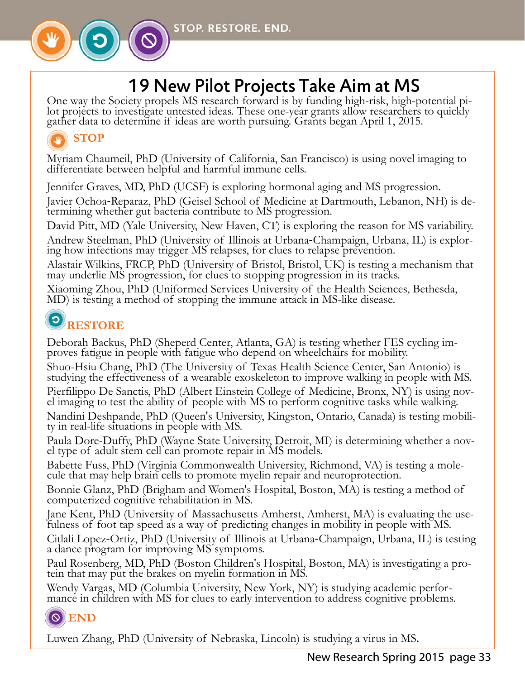

# 19 New Pilot Projects Take Aim at MS

One way the Society propels MS research forward is by funding high-risk, high-potential pilot projects to investigate untested ideas. These one-year grants allow researchers to quickly gather data to determine if ideas are

# **STOP**

Myriam Chaumeil, PhD (University of California, San Francisco) is using novel imaging to differentiate between helpful and harmful immune cells.

Jennifer Graves, MD, PhD (UCSF) is exploring hormonal aging and MS progression.

Javier Ochoa‐Reparaz, PhD (Geisel School of Medicine at Dartmouth, Lebanon, NH) is de- termining whether gut bacteria contribute to MS progression.

David Pitt, MD (Yale University, New Haven, CT) is exploring the reason for MS variability.

Andrew Steelman, PhD (University of Illinois at Urbana‐Champaign, Urbana, IL) is explor- ing how infections may trigger MS relapses, for clues to relapse prevention.

Alastair Wilkins, FRCP, PhD (University of Bristol, Bristol, UK) is testing a mechanism that may underlie MS progression, for clues to stopping progression in its tracks.

Xiaoming Zhou, PhD (Uniformed Services University of the Health Sciences, Bethesda, MD) is testing a method of stopping the immune attack in MS-like disease.

# **RESTORE**

Deborah Backus, PhD (Sheperd Center, Atlanta, GA) is testing whether FES cycling im- proves fatigue in people with fatigue who depend on wheelchairs for mobility.

Shuo-Hsiu Chang, PhD (The University of Texas Health Science Center, San Antonio) is studying the effectiveness of a wearable exoskeleton to improve walking in people with MS.

Pierfilippo De Sanctis, PhD (Albert Einstein College of Medicine, Bronx, NY) is using nov- el imaging to test the ability of people with MS to perform cognitive tasks while walking.

Nandini Deshpande, PhD (Queen's University, Kingston, Ontario, Canada) is testing mobili- ty in real-life situations in people with MS.

Paula Dore-Duffy, PhD (Wayne State University, Detroit, MI) is determining whether a nov- el type of adult stem cell can promote repair in MS models.

Babette Fuss, PhD (Virginia Commonwealth University, Richmond, VA) is testing a mole- cule that may help brain cells to promote myelin repair and neuroprotection.

Bonnie Glanz, PhD (Brigham and Women's Hospital, Boston, MA) is testing a method of computerized cognitive rehabilitation in MS.

Jane Kent, PhD (University of Massachusetts Amherst, Amherst, MA) is evaluating the use- fulness of foot tap speed as a way of predicting changes in mobility in people with MS.

Citlali Lopez‐Ortiz, PhD (University of Illinois at Urbana‐Champaign, Urbana, IL) is testing a dance program for improving MS symptoms.

Paul Rosenberg, MD, PhD (Boston Children's Hospital, Boston, MA) is investigating a pro- tein that may put the brakes on myelin formation in MS.

Wendy Vargas, MD (Columbia University, New York, NY) is studying academic perfor- mance in children with MS for clues to early intervention to address cognitive problems.

# **END**

Luwen Zhang, PhD (University of Nebraska, Lincoln) is studying a virus in MS.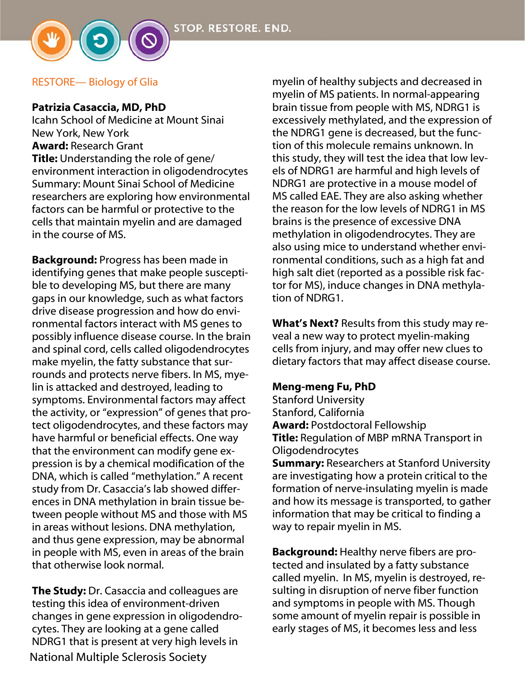

#### RESTORE— Biology of Glia

#### Patrizia Casaccia, MD, PhD

Icahn School of Medicine at Mount Sinai New York, New York Award: Research Grant Title: Understanding the role of gene/ environment interaction in oligodendrocytes Summary: Mount Sinai School of Medicine researchers are exploring how environmental factors can be harmful or protective to the cells that maintain myelin and are damaged in the course of MS.

Background: Progress has been made in identifying genes that make people susceptible to developing MS, but there are many gaps in our knowledge, such as what factors drive disease progression and how do environmental factors interact with MS genes to possibly influence disease course. In the brain and spinal cord, cells called oligodendrocytes make myelin, the fatty substance that surrounds and protects nerve fibers. In MS, myelin is attacked and destroyed, leading to symptoms. Environmental factors may affect the activity, or "expression" of genes that protect oligodendrocytes, and these factors may have harmful or beneficial effects. One way that the environment can modify gene expression is by a chemical modification of the DNA, which is called "methylation." A recent study from Dr. Casaccia's lab showed differences in DNA methylation in brain tissue between people without MS and those with MS in areas without lesions. DNA methylation, and thus gene expression, may be abnormal in people with MS, even in areas of the brain that otherwise look normal.

National Multiple Sclerosis Society **The Study:** Dr. Casaccia and colleagues are testing this idea of environment-driven changes in gene expression in oligodendrocytes. They are looking at a gene called NDRG1 that is present at very high levels in

myelin of healthy subjects and decreased in myelin of MS patients. In normal-appearing brain tissue from people with MS, NDRG1 is excessively methylated, and the expression of the NDRG1 gene is decreased, but the function of this molecule remains unknown. In this study, they will test the idea that low levels of NDRG1 are harmful and high levels of NDRG1 are protective in a mouse model of MS called EAE. They are also asking whether the reason for the low levels of NDRG1 in MS brains is the presence of excessive DNA methylation in oligodendrocytes. They are also using mice to understand whether environmental conditions, such as a high fat and high salt diet (reported as a possible risk factor for MS), induce changes in DNA methylation of NDRG1.

What's Next? Results from this study may reveal a new way to protect myelin-making cells from injury, and may offer new clues to dietary factors that may affect disease course.

#### Meng-meng Fu, PhD

Stanford University Stanford, California Award: Postdoctoral Fellowship **Title: Regulation of MBP mRNA Transport in** Oligodendrocytes **Summary: Researchers at Stanford University** are investigating how a protein critical to the formation of nerve-insulating myelin is made and how its message is transported, to gather information that may be critical to finding a way to repair myelin in MS.

Background: Healthy nerve fibers are protected and insulated by a fatty substance called myelin. In MS, myelin is destroyed, resulting in disruption of nerve fiber function and symptoms in people with MS. Though some amount of myelin repair is possible in early stages of MS, it becomes less and less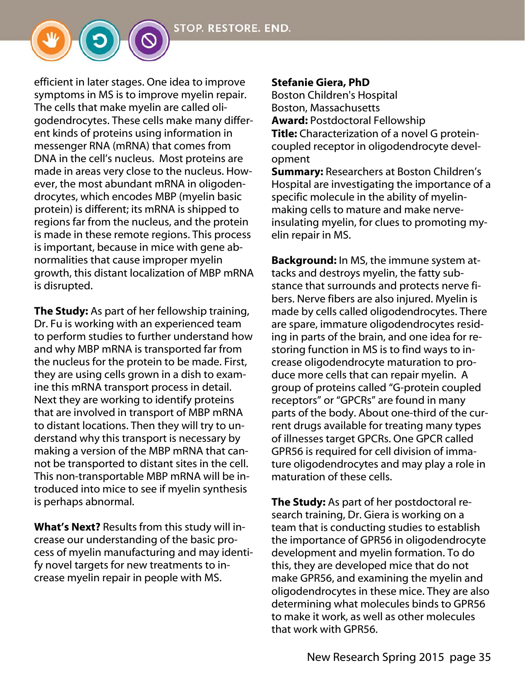efficient in later stages. One idea to improve symptoms in MS is to improve myelin repair. The cells that make myelin are called oligodendrocytes. These cells make many different kinds of proteins using information in messenger RNA (mRNA) that comes from DNA in the cell's nucleus. Most proteins are made in areas very close to the nucleus. However, the most abundant mRNA in oligodendrocytes, which encodes MBP (myelin basic protein) is different; its mRNA is shipped to regions far from the nucleus, and the protein is made in these remote regions. This process is important, because in mice with gene abnormalities that cause improper myelin growth, this distant localization of MBP mRNA is disrupted.

The Study: As part of her fellowship training, Dr. Fu is working with an experienced team to perform studies to further understand how and why MBP mRNA is transported far from the nucleus for the protein to be made. First, they are using cells grown in a dish to examine this mRNA transport process in detail. Next they are working to identify proteins that are involved in transport of MBP mRNA to distant locations. Then they will try to understand why this transport is necessary by making a version of the MBP mRNA that cannot be transported to distant sites in the cell. This non-transportable MBP mRNA will be introduced into mice to see if myelin synthesis is perhaps abnormal.

What's Next? Results from this study will increase our understanding of the basic process of myelin manufacturing and may identify novel targets for new treatments to increase myelin repair in people with MS.

#### Stefanie Giera, PhD

Boston Children's Hospital Boston, Massachusetts Award: Postdoctoral Fellowship Title: Characterization of a novel G proteincoupled receptor in oligodendrocyte development

Summary: Researchers at Boston Children's Hospital are investigating the importance of a specific molecule in the ability of myelinmaking cells to mature and make nerveinsulating myelin, for clues to promoting myelin repair in MS.

Background: In MS, the immune system attacks and destroys myelin, the fatty substance that surrounds and protects nerve fibers. Nerve fibers are also injured. Myelin is made by cells called oligodendrocytes. There are spare, immature oligodendrocytes residing in parts of the brain, and one idea for restoring function in MS is to find ways to increase oligodendrocyte maturation to produce more cells that can repair myelin. A group of proteins called "G-protein coupled receptors" or "GPCRs" are found in many parts of the body. About one-third of the current drugs available for treating many types of illnesses target GPCRs. One GPCR called GPR56 is required for cell division of immature oligodendrocytes and may play a role in maturation of these cells.

**The Study:** As part of her postdoctoral research training, Dr. Giera is working on a team that is conducting studies to establish the importance of GPR56 in oligodendrocyte development and myelin formation. To do this, they are developed mice that do not make GPR56, and examining the myelin and oligodendrocytes in these mice. They are also determining what molecules binds to GPR56 to make it work, as well as other molecules that work with GPR56.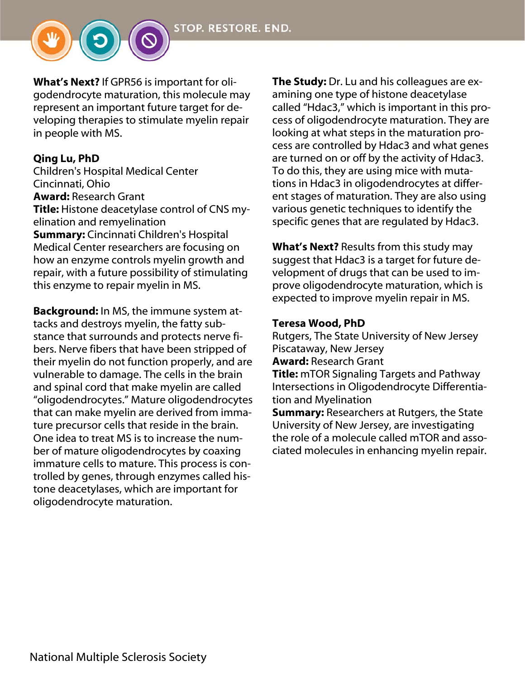```
STOP. RESTORE. END.
```
What's Next? If GPR56 is important for oligodendrocyte maturation, this molecule may represent an important future target for developing therapies to stimulate myelin repair in people with MS.

### Qing Lu, PhD

Children's Hospital Medical Center Cincinnati, Ohio Award: Research Grant Title: Histone deacetylase control of CNS myelination and remyelination **Summary:** Cincinnati Children's Hospital Medical Center researchers are focusing on how an enzyme controls myelin growth and repair, with a future possibility of stimulating this enzyme to repair myelin in MS.

Background: In MS, the immune system attacks and destroys myelin, the fatty substance that surrounds and protects nerve fibers. Nerve fibers that have been stripped of their myelin do not function properly, and are vulnerable to damage. The cells in the brain and spinal cord that make myelin are called "oligodendrocytes." Mature oligodendrocytes that can make myelin are derived from immature precursor cells that reside in the brain. One idea to treat MS is to increase the number of mature oligodendrocytes by coaxing immature cells to mature. This process is controlled by genes, through enzymes called histone deacetylases, which are important for oligodendrocyte maturation.

The Study: Dr. Lu and his colleagues are examining one type of histone deacetylase called "Hdac3," which is important in this process of oligodendrocyte maturation. They are looking at what steps in the maturation process are controlled by Hdac3 and what genes are turned on or off by the activity of Hdac3. To do this, they are using mice with mutations in Hdac3 in oligodendrocytes at different stages of maturation. They are also using various genetic techniques to identify the specific genes that are regulated by Hdac3.

What's Next? Results from this study may suggest that Hdac3 is a target for future development of drugs that can be used to improve oligodendrocyte maturation, which is expected to improve myelin repair in MS.

#### Teresa Wood, PhD

Rutgers, The State University of New Jersey Piscataway, New Jersey

Award: Research Grant

**Title:** mTOR Signaling Targets and Pathway Intersections in Oligodendrocyte Differentiation and Myelination

**Summary: Researchers at Rutgers, the State** University of New Jersey, are investigating the role of a molecule called mTOR and associated molecules in enhancing myelin repair.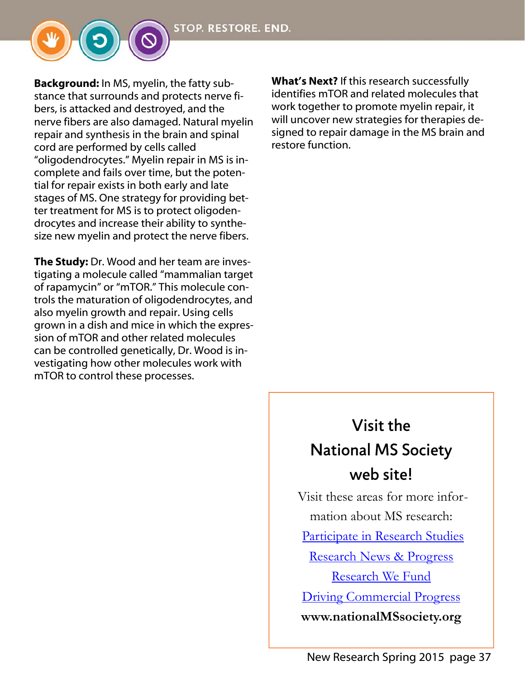Background: In MS, myelin, the fatty substance that surrounds and protects nerve fibers, is attacked and destroyed, and the nerve fibers are also damaged. Natural myelin repair and synthesis in the brain and spinal cord are performed by cells called "oligodendrocytes." Myelin repair in MS is incomplete and fails over time, but the potential for repair exists in both early and late stages of MS. One strategy for providing better treatment for MS is to protect oligodendrocytes and increase their ability to synthesize new myelin and protect the nerve fibers.

The Study: Dr. Wood and her team are investigating a molecule called "mammalian target of rapamycin" or "mTOR." This molecule controls the maturation of oligodendrocytes, and also myelin growth and repair. Using cells grown in a dish and mice in which the expression of mTOR and other related molecules can be controlled genetically, Dr. Wood is investigating how other molecules work with mTOR to control these processes.

What's Next? If this research successfully identifies mTOR and related molecules that work together to promote myelin repair, it will uncover new strategies for therapies designed to repair damage in the MS brain and restore function.

# Visit the National MS Society web site! Visit these areas for more infor-

mation about MS research:

Participate in Research Studies

Research News & Progress

Research We Fund

Driving Commercial Progress

**www.nationalMSsociety.org**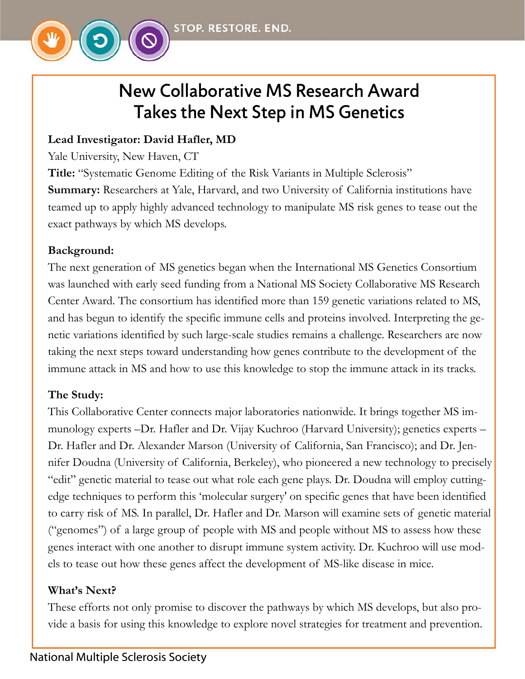

# New Collaborative MS Research Award Takes the Next Step in MS Genetics

# **Lead Investigator: David Hafler, MD**

Yale University, New Haven, CT

**Title:** "Systematic Genome Editing of the Risk Variants in Multiple Sclerosis" **Summary:** Researchers at Yale, Harvard, and two University of California institutions have teamed up to apply highly advanced technology to manipulate MS risk genes to tease out the exact pathways by which MS develops.

# **Background:**

The next generation of MS genetics began when the International MS Genetics Consortium was launched with early seed funding from a National MS Society Collaborative MS Research Center Award. The consortium has identified more than 159 genetic variations related to MS, and has begun to identify the specific immune cells and proteins involved. Interpreting the genetic variations identified by such large-scale studies remains a challenge. Researchers are now taking the next steps toward understanding how genes contribute to the development of the immune attack in MS and how to use this knowledge to stop the immune attack in its tracks.

### **The Study:**

This Collaborative Center connects major laboratories nationwide. It brings together MS immunology experts –Dr. Hafler and Dr. Vijay Kuchroo (Harvard University); genetics experts – Dr. Hafler and Dr. Alexander Marson (University of California, San Francisco); and Dr. Jennifer Doudna (University of California, Berkeley), who pioneered a new technology to precisely "edit" genetic material to tease out what role each gene plays. Dr. Doudna will employ cuttingedge techniques to perform this 'molecular surgery' on specific genes that have been identified to carry risk of MS. In parallel, Dr. Hafler and Dr. Marson will examine sets of genetic material ("genomes") of a large group of people with MS and people without MS to assess how these genes interact with one another to disrupt immune system activity. Dr. Kuchroo will use models to tease out how these genes affect the development of MS-like disease in mice.

# **What's Next?**

These efforts not only promise to discover the pathways by which MS develops, but also provide a basis for using this knowledge to explore novel strategies for treatment and prevention.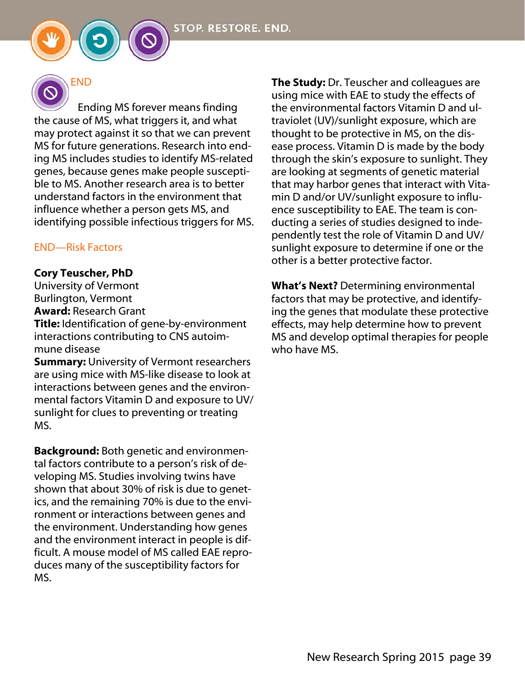

 Ending MS forever means finding the cause of MS, what triggers it, and what may protect against it so that we can prevent MS for future generations. Research into ending MS includes studies to identify MS-related genes, because genes make people susceptible to MS. Another research area is to better understand factors in the environment that influence whether a person gets MS, and identifying possible infectious triggers for MS.

#### END—Risk Factors

#### Cory Teuscher, PhD

University of Vermont Burlington, Vermont Award: Research Grant Title: Identification of gene-by-environment interactions contributing to CNS autoimmune disease

**Summary:** University of Vermont researchers are using mice with MS-like disease to look at interactions between genes and the environmental factors Vitamin D and exposure to UV/ sunlight for clues to preventing or treating MS.

Background: Both genetic and environmental factors contribute to a person's risk of developing MS. Studies involving twins have shown that about 30% of risk is due to genetics, and the remaining 70% is due to the environment or interactions between genes and the environment. Understanding how genes and the environment interact in people is difficult. A mouse model of MS called EAE reproduces many of the susceptibility factors for MS.

The Study: Dr. Teuscher and colleagues are using mice with EAE to study the effects of the environmental factors Vitamin D and ultraviolet (UV)/sunlight exposure, which are thought to be protective in MS, on the disease process. Vitamin D is made by the body through the skin's exposure to sunlight. They are looking at segments of genetic material that may harbor genes that interact with Vitamin D and/or UV/sunlight exposure to influence susceptibility to EAE. The team is conducting a series of studies designed to independently test the role of Vitamin D and UV/ sunlight exposure to determine if one or the other is a better protective factor.

What's Next? Determining environmental factors that may be protective, and identifying the genes that modulate these protective effects, may help determine how to prevent MS and develop optimal therapies for people who have MS.